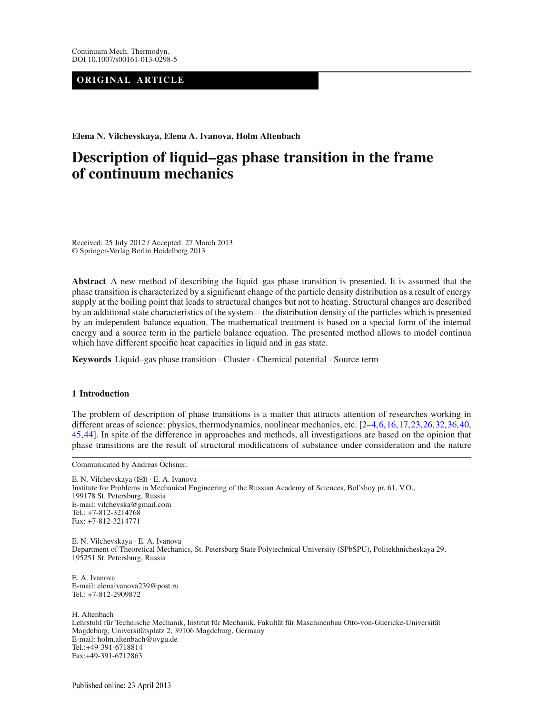# **ORIGINAL ARTICLE**

**Elena N. Vilchevskaya, Elena A. Ivanova, Holm Altenbach**

# **Description of liquid–gas phase transition in the frame of continuum mechanics**

Received: 25 July 2012 / Accepted: 27 March 2013 © Springer-Verlag Berlin Heidelberg 2013

**Abstract** A new method of describing the liquid–gas phase transition is presented. It is assumed that the phase transition is characterized by a significant change of the particle density distribution as a result of energy supply at the boiling point that leads to structural changes but not to heating. Structural changes are described by an additional state characteristics of the system—the distribution density of the particles which is presented by an independent balance equation. The mathematical treatment is based on a special form of the internal energy and a source term in the particle balance equation. The presented method allows to model continua which have different specific heat capacities in liquid and in gas state.

**Keywords** Liquid–gas phase transition · Cluster · Chemical potential · Source term

#### **1 Introduction**

The problem of description of phase transitions is a matter that attracts attention of researches working in different areas of science: physics, thermodynamics, nonlinear mechanics, etc. [\[2](#page-23-0)[–4](#page-23-1)[,6](#page-23-2)[,16](#page-23-3),[17](#page-23-4)[,23](#page-23-5),[26](#page-23-6)[,32](#page-24-0),[36](#page-24-1)[,40](#page-24-2), [45](#page-24-3)[,44](#page-24-4)]. In spite of the difference in approaches and methods, all investigations are based on the opinion that phase transitions are the result of structural modifications of substance under consideration and the nature

Communicated by Andreas Öchsner.

E. N. Vilchevskaya (⊠) · E. A. Ivanova Institute for Problems in Mechanical Engineering of the Russian Academy of Sciences, Bol'shoy pr. 61, V.O., 199178 St. Petersburg, Russia E-mail: vilchevska@gmail.com Tel.: +7-812-3214768 Fax: +7-812-3214771

E. N. Vilchevskaya · E. A. Ivanova Department of Theoretical Mechanics, St. Petersburg State Polytechnical University (SPbSPU), Politekhnicheskaya 29, 195251 St. Petersburg, Russia

E. A. Ivanova E-mail: elenaivanova239@post.ru Tel.: +7-812-2909872

H. Altenbach Lehrstuhl für Technische Mechanik, Institut für Mechanik, Fakultät für Maschinenbau Otto-von-Guericke-Universität Magdeburg, Universitätsplatz 2, 39106 Magdeburg, Germany E-mail: holm.altenbach@ovgu.de Tel.:+49-391-6718814 Fax:+49-391-6712863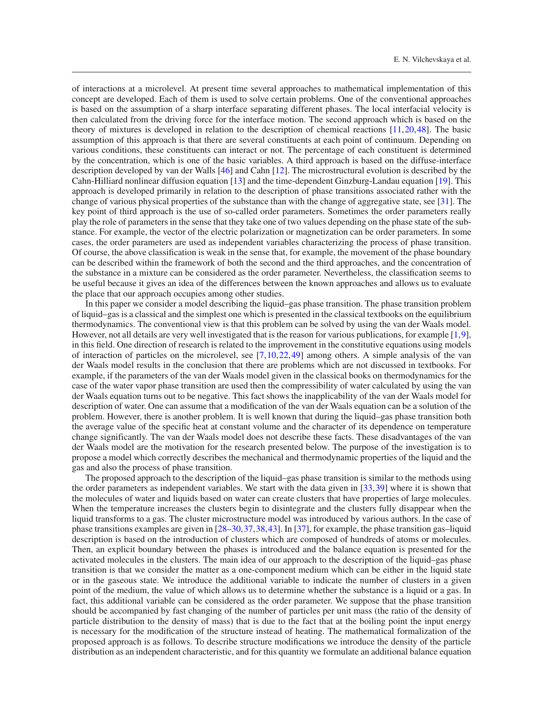of interactions at a microlevel. At present time several approaches to mathematical implementation of this concept are developed. Each of them is used to solve certain problems. One of the conventional approaches is based on the assumption of a sharp interface separating different phases. The local interfacial velocity is then calculated from the driving force for the interface motion. The second approach which is based on the theory of mixtures is developed in relation to the description of chemical reactions [\[11](#page-23-7)[,20](#page-23-8)[,48\]](#page-24-5). The basic assumption of this approach is that there are several constituents at each point of continuum. Depending on various conditions, these constituents can interact or not. The percentage of each constituent is determined by the concentration, which is one of the basic variables. A third approach is based on the diffuse-interface description developed by van der Walls [\[46\]](#page-24-6) and Cahn [\[12\]](#page-23-9). The microstructural evolution is described by the Cahn-Hilliard nonlinear diffusion equation [\[13](#page-23-10)] and the time-dependent Ginzburg-Landau equation [\[19\]](#page-23-11). This approach is developed primarily in relation to the description of phase transitions associated rather with the change of various physical properties of the substance than with the change of aggregative state, see [\[31\]](#page-24-7). The key point of third approach is the use of so-called order parameters. Sometimes the order parameters really play the role of parameters in the sense that they take one of two values depending on the phase state of the substance. For example, the vector of the electric polarization or magnetization can be order parameters. In some cases, the order parameters are used as independent variables characterizing the process of phase transition. Of course, the above classification is weak in the sense that, for example, the movement of the phase boundary can be described within the framework of both the second and the third approaches, and the concentration of the substance in a mixture can be considered as the order parameter. Nevertheless, the classification seems to be useful because it gives an idea of the differences between the known approaches and allows us to evaluate the place that our approach occupies among other studies.

In this paper we consider a model describing the liquid–gas phase transition. The phase transition problem of liquid–gas is a classical and the simplest one which is presented in the classical textbooks on the equilibrium thermodynamics. The conventional view is that this problem can be solved by using the van der Waals model. However, not all details are very well investigated that is the reason for various publications, for example [\[1,](#page-23-12)[9\]](#page-23-13), in this field. One direction of research is related to the improvement in the constitutive equations using models of interaction of particles on the microlevel, see [\[7](#page-23-14),[10](#page-23-15)[,22](#page-23-16),[49\]](#page-24-8) among others. A simple analysis of the van der Waals model results in the conclusion that there are problems which are not discussed in textbooks. For example, if the parameters of the van der Waals model given in the classical books on thermodynamics for the case of the water vapor phase transition are used then the compressibility of water calculated by using the van der Waals equation turns out to be negative. This fact shows the inapplicability of the van der Waals model for description of water. One can assume that a modification of the van der Waals equation can be a solution of the problem. However, there is another problem. It is well known that during the liquid–gas phase transition both the average value of the specific heat at constant volume and the character of its dependence on temperature change significantly. The van der Waals model does not describe these facts. These disadvantages of the van der Waals model are the motivation for the research presented below. The purpose of the investigation is to propose a model which correctly describes the mechanical and thermodynamic properties of the liquid and the gas and also the process of phase transition.

The proposed approach to the description of the liquid–gas phase transition is similar to the methods using the order parameters as independent variables. We start with the data given in [\[33,](#page-24-9)[39](#page-24-10)] where it is shown that the molecules of water and liquids based on water can create clusters that have properties of large molecules. When the temperature increases the clusters begin to disintegrate and the clusters fully disappear when the liquid transforms to a gas. The cluster microstructure model was introduced by various authors. In the case of phase transitions examples are given in [\[28](#page-23-17)[–30,](#page-24-11)[37](#page-24-12)[,38,](#page-24-13)[43](#page-24-14)]. In [\[37](#page-24-12)], for example, the phase transition gas–liquid description is based on the introduction of clusters which are composed of hundreds of atoms or molecules. Then, an explicit boundary between the phases is introduced and the balance equation is presented for the activated molecules in the clusters. The main idea of our approach to the description of the liquid–gas phase transition is that we consider the matter as a one-component medium which can be either in the liquid state or in the gaseous state. We introduce the additional variable to indicate the number of clusters in a given point of the medium, the value of which allows us to determine whether the substance is a liquid or a gas. In fact, this additional variable can be considered as the order parameter. We suppose that the phase transition should be accompanied by fast changing of the number of particles per unit mass (the ratio of the density of particle distribution to the density of mass) that is due to the fact that at the boiling point the input energy is necessary for the modification of the structure instead of heating. The mathematical formalization of the proposed approach is as follows. To describe structure modifications we introduce the density of the particle distribution as an independent characteristic, and for this quantity we formulate an additional balance equation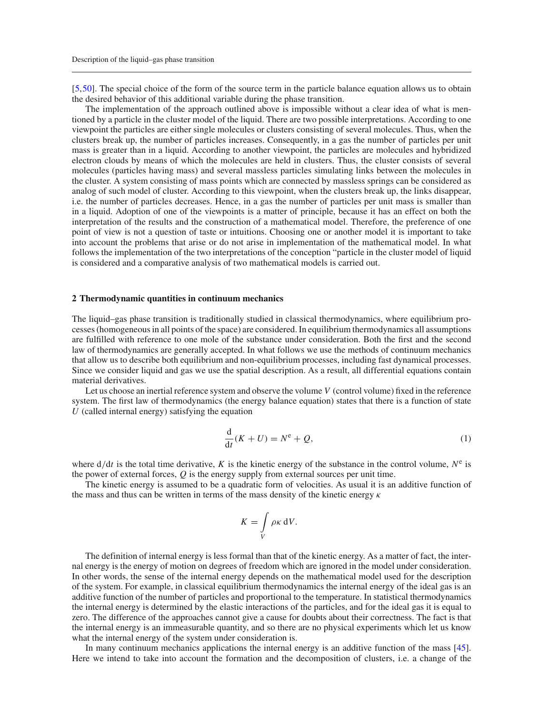[\[5](#page-23-18)[,50\]](#page-24-15). The special choice of the form of the source term in the particle balance equation allows us to obtain the desired behavior of this additional variable during the phase transition.

The implementation of the approach outlined above is impossible without a clear idea of what is mentioned by a particle in the cluster model of the liquid. There are two possible interpretations. According to one viewpoint the particles are either single molecules or clusters consisting of several molecules. Thus, when the clusters break up, the number of particles increases. Consequently, in a gas the number of particles per unit mass is greater than in a liquid. According to another viewpoint, the particles are molecules and hybridized electron clouds by means of which the molecules are held in clusters. Thus, the cluster consists of several molecules (particles having mass) and several massless particles simulating links between the molecules in the cluster. A system consisting of mass points which are connected by massless springs can be considered as analog of such model of cluster. According to this viewpoint, when the clusters break up, the links disappear, i.e. the number of particles decreases. Hence, in a gas the number of particles per unit mass is smaller than in a liquid. Adoption of one of the viewpoints is a matter of principle, because it has an effect on both the interpretation of the results and the construction of a mathematical model. Therefore, the preference of one point of view is not a question of taste or intuitions. Choosing one or another model it is important to take into account the problems that arise or do not arise in implementation of the mathematical model. In what follows the implementation of the two interpretations of the conception "particle in the cluster model of liquid is considered and a comparative analysis of two mathematical models is carried out.

#### **2 Thermodynamic quantities in continuum mechanics**

The liquid–gas phase transition is traditionally studied in classical thermodynamics, where equilibrium processes (homogeneous in all points of the space) are considered. In equilibrium thermodynamics all assumptions are fulfilled with reference to one mole of the substance under consideration. Both the first and the second law of thermodynamics are generally accepted. In what follows we use the methods of continuum mechanics that allow us to describe both equilibrium and non-equilibrium processes, including fast dynamical processes. Since we consider liquid and gas we use the spatial description. As a result, all differential equations contain material derivatives.

Let us choose an inertial reference system and observe the volume *V* (control volume) fixed in the reference system. The first law of thermodynamics (the energy balance equation) states that there is a function of state *U* (called internal energy) satisfying the equation

<span id="page-2-0"></span>
$$
\frac{\mathrm{d}}{\mathrm{d}t}(K+U) = N^{\mathrm{e}} + Q,\tag{1}
$$

where  $d/dt$  is the total time derivative, *K* is the kinetic energy of the substance in the control volume,  $N^e$  is the power of external forces, *Q* is the energy supply from external sources per unit time.

The kinetic energy is assumed to be a quadratic form of velocities. As usual it is an additive function of the mass and thus can be written in terms of the mass density of the kinetic energy  $\kappa$ 

$$
K = \int\limits_V \rho \kappa \, \mathrm{d}V.
$$

The definition of internal energy is less formal than that of the kinetic energy. As a matter of fact, the internal energy is the energy of motion on degrees of freedom which are ignored in the model under consideration. In other words, the sense of the internal energy depends on the mathematical model used for the description of the system. For example, in classical equilibrium thermodynamics the internal energy of the ideal gas is an additive function of the number of particles and proportional to the temperature. In statistical thermodynamics the internal energy is determined by the elastic interactions of the particles, and for the ideal gas it is equal to zero. The difference of the approaches cannot give a cause for doubts about their correctness. The fact is that the internal energy is an immeasurable quantity, and so there are no physical experiments which let us know what the internal energy of the system under consideration is.

In many continuum mechanics applications the internal energy is an additive function of the mass [\[45\]](#page-24-3). Here we intend to take into account the formation and the decomposition of clusters, i.e. a change of the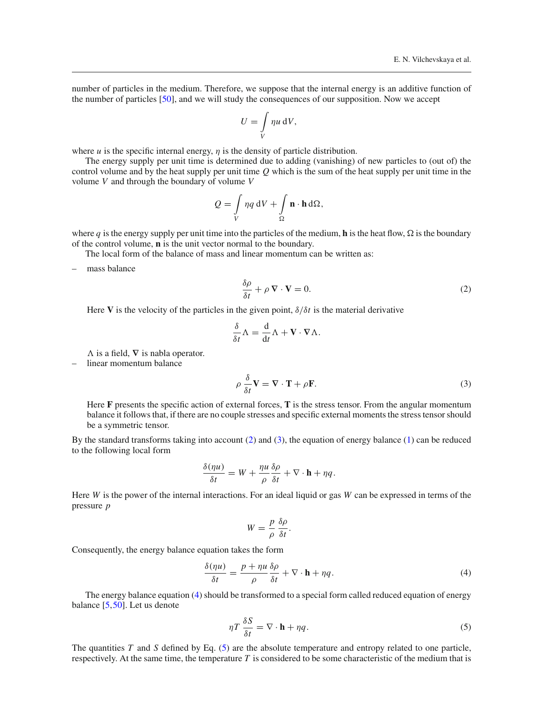number of particles in the medium. Therefore, we suppose that the internal energy is an additive function of the number of particles [\[50\]](#page-24-15), and we will study the consequences of our supposition. Now we accept

$$
U = \int\limits_V \eta u \, \mathrm{d}V,
$$

where  $u$  is the specific internal energy,  $\eta$  is the density of particle distribution.

The energy supply per unit time is determined due to adding (vanishing) of new particles to (out of) the control volume and by the heat supply per unit time *Q* which is the sum of the heat supply per unit time in the volume *V* and through the boundary of volume *V*

$$
Q = \int\limits_V \eta q \, \mathrm{d}V + \int\limits_\Omega \mathbf{n} \cdot \mathbf{h} \, \mathrm{d}\Omega,
$$

where *q* is the energy supply per unit time into the particles of the medium, **h** is the heat flow,  $\Omega$  is the boundary of the control volume, **n** is the unit vector normal to the boundary.

The local form of the balance of mass and linear momentum can be written as:

– mass balance

<span id="page-3-0"></span>
$$
\frac{\delta \rho}{\delta t} + \rho \, \mathbf{\nabla} \cdot \mathbf{V} = 0. \tag{2}
$$

Here **V** is the velocity of the particles in the given point,  $\delta/\delta t$  is the material derivative

$$
\frac{\delta}{\delta t} \Lambda = \frac{\mathrm{d}}{\mathrm{d}t} \Lambda + \mathbf{V} \cdot \nabla \Lambda.
$$

 $\Lambda$  is a field,  $\nabla$  is nabla operator.

linear momentum balance

<span id="page-3-1"></span>
$$
\rho \frac{\delta}{\delta t} \mathbf{V} = \nabla \cdot \mathbf{T} + \rho \mathbf{F}.\tag{3}
$$

Here **F** presents the specific action of external forces, **T** is the stress tensor. From the angular momentum balance it follows that, if there are no couple stresses and specific external moments the stress tensor should be a symmetric tensor.

By the standard transforms taking into account [\(2\)](#page-3-0) and [\(3\)](#page-3-1), the equation of energy balance [\(1\)](#page-2-0) can be reduced to the following local form

$$
\frac{\delta(\eta u)}{\delta t} = W + \frac{\eta u}{\rho} \frac{\delta \rho}{\delta t} + \nabla \cdot \mathbf{h} + \eta q.
$$

Here *W* is the power of the internal interactions. For an ideal liquid or gas *W* can be expressed in terms of the pressure *p*

$$
W = \frac{p}{\rho} \frac{\delta \rho}{\delta t}.
$$

Consequently, the energy balance equation takes the form

<span id="page-3-2"></span>
$$
\frac{\delta(\eta u)}{\delta t} = \frac{p + \eta u}{\rho} \frac{\delta \rho}{\delta t} + \nabla \cdot \mathbf{h} + \eta q.
$$
\n(4)

The energy balance equation [\(4\)](#page-3-2) should be transformed to a special form called reduced equation of energy balance [\[5,](#page-23-18)[50](#page-24-15)]. Let us denote

<span id="page-3-3"></span>
$$
\eta T \frac{\delta S}{\delta t} = \nabla \cdot \mathbf{h} + \eta q. \tag{5}
$$

The quantities *T* and *S* defined by Eq. [\(5\)](#page-3-3) are the absolute temperature and entropy related to one particle, respectively. At the same time, the temperature *T* is considered to be some characteristic of the medium that is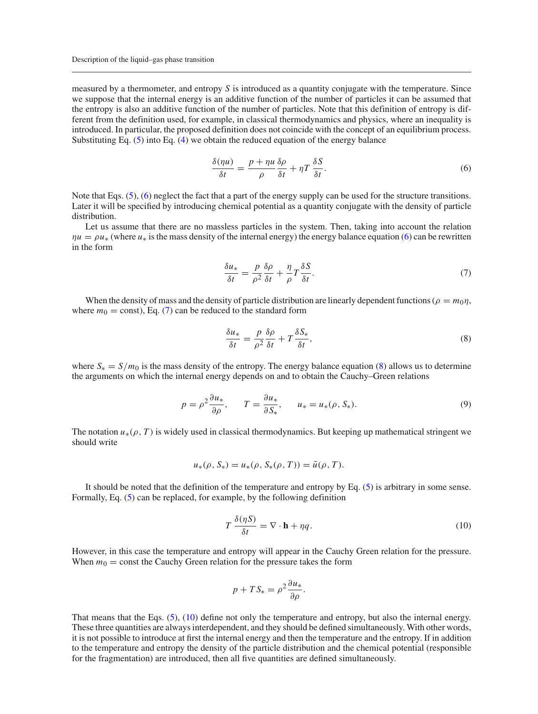measured by a thermometer, and entropy *S* is introduced as a quantity conjugate with the temperature. Since we suppose that the internal energy is an additive function of the number of particles it can be assumed that the entropy is also an additive function of the number of particles. Note that this definition of entropy is different from the definition used, for example, in classical thermodynamics and physics, where an inequality is introduced. In particular, the proposed definition does not coincide with the concept of an equilibrium process. Substituting Eq.  $(5)$  into Eq.  $(4)$  we obtain the reduced equation of the energy balance

<span id="page-4-0"></span>
$$
\frac{\delta(\eta u)}{\delta t} = \frac{p + \eta u}{\rho} \frac{\delta \rho}{\delta t} + \eta T \frac{\delta S}{\delta t}.
$$
\n
$$
(6)
$$

Note that Eqs. [\(5\)](#page-3-3), [\(6\)](#page-4-0) neglect the fact that a part of the energy supply can be used for the structure transitions. Later it will be specified by introducing chemical potential as a quantity conjugate with the density of particle distribution.

Let us assume that there are no massless particles in the system. Then, taking into account the relation  $\eta u = \rho u_*$  (where  $u_*$  is the mass density of the internal energy) the energy balance equation [\(6\)](#page-4-0) can be rewritten in the form

<span id="page-4-1"></span>
$$
\frac{\delta u_*}{\delta t} = \frac{p}{\rho^2} \frac{\delta \rho}{\delta t} + \frac{\eta}{\rho} T \frac{\delta S}{\delta t}.
$$
\n(7)

When the density of mass and the density of particle distribution are linearly dependent functions ( $\rho = m_0 \eta$ , where  $m_0 = \text{const}$ , Eq. [\(7\)](#page-4-1) can be reduced to the standard form

$$
\frac{\delta u_*}{\delta t} = \frac{p}{\rho^2} \frac{\delta \rho}{\delta t} + T \frac{\delta S_*}{\delta t},\tag{8}
$$

where  $S_* = S/m_0$  is the mass density of the entropy. The energy balance equation [\(8\)](#page-4-2) allows us to determine the arguments on which the internal energy depends on and to obtain the Cauchy–Green relations

<span id="page-4-2"></span>
$$
p = \rho^2 \frac{\partial u_*}{\partial \rho}, \qquad T = \frac{\partial u_*}{\partial S_*}, \qquad u_* = u_*(\rho, S_*).
$$
 (9)

<span id="page-4-4"></span>The notation  $u_*(\rho, T)$  is widely used in classical thermodynamics. But keeping up mathematical stringent we should write

$$
u_*(\rho, S_*) = u_*(\rho, S_*(\rho, T)) = \tilde{u}(\rho, T).
$$

It should be noted that the definition of the temperature and entropy by Eq. [\(5\)](#page-3-3) is arbitrary in some sense. Formally, Eq. [\(5\)](#page-3-3) can be replaced, for example, by the following definition

<span id="page-4-3"></span>
$$
T\frac{\delta(\eta S)}{\delta t} = \nabla \cdot \mathbf{h} + \eta q. \tag{10}
$$

However, in this case the temperature and entropy will appear in the Cauchy Green relation for the pressure. When  $m_0 =$  const the Cauchy Green relation for the pressure takes the form

$$
p + TS_* = \rho^2 \frac{\partial u_*}{\partial \rho}.
$$

That means that the Eqs. [\(5\)](#page-3-3), [\(10\)](#page-4-3) define not only the temperature and entropy, but also the internal energy. These three quantities are always interdependent, and they should be defined simultaneously. With other words, it is not possible to introduce at first the internal energy and then the temperature and the entropy. If in addition to the temperature and entropy the density of the particle distribution and the chemical potential (responsible for the fragmentation) are introduced, then all five quantities are defined simultaneously.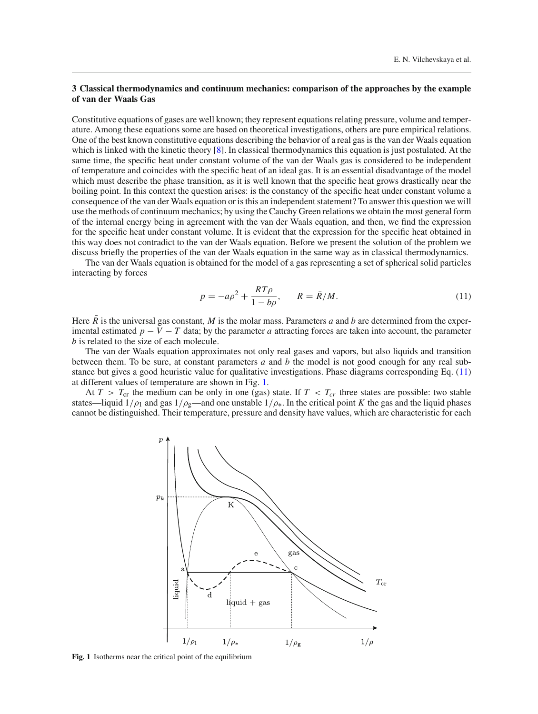## **3 Classical thermodynamics and continuum mechanics: comparison of the approaches by the example of van der Waals Gas**

Constitutive equations of gases are well known; they represent equations relating pressure, volume and temperature. Among these equations some are based on theoretical investigations, others are pure empirical relations. One of the best known constitutive equations describing the behavior of a real gas is the van der Waals equation which is linked with the kinetic theory [\[8\]](#page-23-19). In classical thermodynamics this equation is just postulated. At the same time, the specific heat under constant volume of the van der Waals gas is considered to be independent of temperature and coincides with the specific heat of an ideal gas. It is an essential disadvantage of the model which must describe the phase transition, as it is well known that the specific heat grows drastically near the boiling point. In this context the question arises: is the constancy of the specific heat under constant volume a consequence of the van der Waals equation or is this an independent statement? To answer this question we will use the methods of continuum mechanics; by using the Cauchy Green relations we obtain the most general form of the internal energy being in agreement with the van der Waals equation, and then, we find the expression for the specific heat under constant volume. It is evident that the expression for the specific heat obtained in this way does not contradict to the van der Waals equation. Before we present the solution of the problem we discuss briefly the properties of the van der Waals equation in the same way as in classical thermodynamics.

The van der Waals equation is obtained for the model of a gas representing a set of spherical solid particles interacting by forces

<span id="page-5-0"></span>
$$
p = -a\rho^2 + \frac{RT\rho}{1 - b\rho}, \qquad R = \bar{R}/M. \tag{11}
$$

Here  $\bar{R}$  is the universal gas constant, *M* is the molar mass. Parameters *a* and *b* are determined from the experimental estimated  $p - V - T$  data; by the parameter *a* attracting forces are taken into account, the parameter *b* is related to the size of each molecule.

The van der Waals equation approximates not only real gases and vapors, but also liquids and transition between them. To be sure, at constant parameters *a* and *b* the model is not good enough for any real substance but gives a good heuristic value for qualitative investigations. Phase diagrams corresponding Eq. [\(11\)](#page-5-0) at different values of temperature are shown in Fig. [1.](#page-5-1)

At  $T > T_{cr}$  the medium can be only in one (gas) state. If  $T < T_{cr}$  three states are possible: two stable states—liquid  $1/\rho_1$  and gas  $1/\rho_g$ —and one unstable  $1/\rho_*$ . In the critical point *K* the gas and the liquid phases cannot be distinguished. Their temperature, pressure and density have values, which are characteristic for each



<span id="page-5-1"></span>**Fig. 1** Isotherms near the critical point of the equilibrium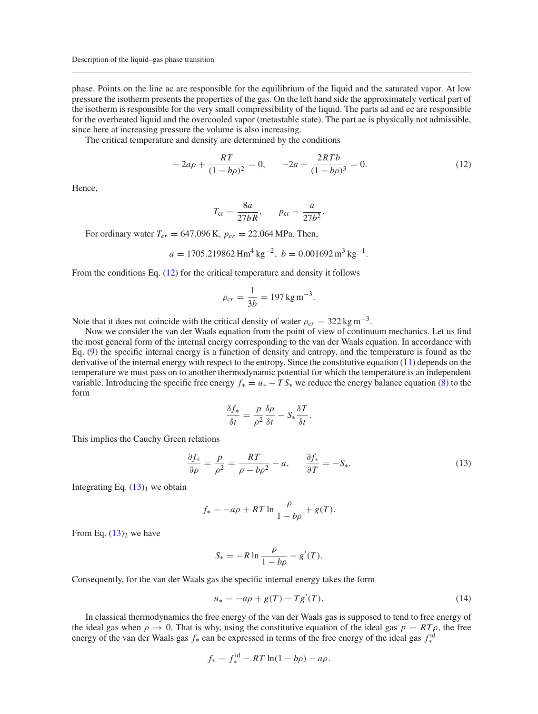phase. Points on the line ac are responsible for the equilibrium of the liquid and the saturated vapor. At low pressure the isotherm presents the properties of the gas. On the left hand side the approximately vertical part of the isotherm is responsible for the very small compressibility of the liquid. The parts ad and ec are responsible for the overheated liquid and the overcooled vapor (metastable state). The part ae is physically not admissible, since here at increasing pressure the volume is also increasing.

<span id="page-6-0"></span>The critical temperature and density are determined by the conditions

$$
-2a\rho + \frac{RT}{(1-b\rho)^2} = 0, \qquad -2a + \frac{2RTb}{(1-b\rho)^3} = 0.
$$
 (12)

Hence,

$$
T_{\rm cr} = \frac{8a}{27bR}, \qquad p_{\rm cr} = \frac{a}{27b^2}.
$$

For ordinary water  $T_{cr} = 647.096$  K,  $p_{cr} = 22.064$  MPa. Then,

$$
a = 1705.219862 \,\mathrm{Hm}^4 \,\mathrm{kg}^{-2}, \; b = 0.001692 \,\mathrm{m}^3 \,\mathrm{kg}^{-1}.
$$

From the conditions Eq. [\(12\)](#page-6-0) for the critical temperature and density it follows

$$
\rho_{cr} = \frac{1}{3b} = 197 \,\text{kg} \,\text{m}^{-3}.
$$

Note that it does not coincide with the critical density of water  $\rho_{cr} = 322 \text{ kg m}^{-3}$ .

Now we consider the van der Waals equation from the point of view of continuum mechanics. Let us find the most general form of the internal energy corresponding to the van der Waals equation. In accordance with Eq. [\(9\)](#page-4-4) the specific internal energy is a function of density and entropy, and the temperature is found as the derivative of the internal energy with respect to the entropy. Since the constitutive equation [\(11\)](#page-5-0) depends on the temperature we must pass on to another thermodynamic potential for which the temperature is an independent variable. Introducing the specific free energy  $f_* = u_* - T S_*$  we reduce the energy balance equation [\(8\)](#page-4-2) to the form

$$
\frac{\delta f_*}{\delta t} = \frac{p}{\rho^2} \frac{\delta \rho}{\delta t} - S_* \frac{\delta T}{\delta t}.
$$

This implies the Cauchy Green relations

$$
\frac{\partial f_*}{\partial \rho} = \frac{p}{\rho^2} = \frac{RT}{\rho - b\rho^2} - a, \qquad \frac{\partial f_*}{\partial T} = -S_*.
$$
 (13)

<span id="page-6-1"></span>Integrating Eq.  $(13)<sub>1</sub>$  $(13)<sub>1</sub>$  we obtain

$$
f_* = -a\rho + RT \ln \frac{\rho}{1 - b\rho} + g(T).
$$

From Eq.  $(13)$ <sub>2</sub> we have

$$
S_* = -R \ln \frac{\rho}{1 - b\rho} - g'(T).
$$

Consequently, for the van der Waals gas the specific internal energy takes the form

<span id="page-6-2"></span>
$$
u_* = -a\rho + g(T) - Tg'(T). \tag{14}
$$

In classical thermodynamics the free energy of the van der Waals gas is supposed to tend to free energy of the ideal gas when  $\rho \to 0$ . That is why, using the constitutive equation of the ideal gas  $p = RT\rho$ , the free energy of the van der Waals gas *<sup>f</sup>*<sup>∗</sup> can be expressed in terms of the free energy of the ideal gas *<sup>f</sup>* id ∗

$$
f_* = f_*^{\rm id} - RT \ln(1 - b\rho) - a\rho.
$$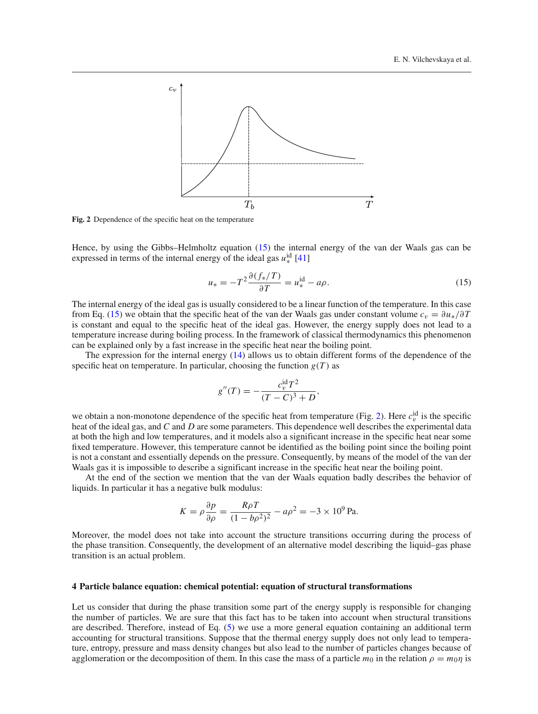

<span id="page-7-1"></span>**Fig. 2** Dependence of the specific heat on the temperature

Hence, by using the Gibbs–Helmholtz equation [\(15\)](#page-7-0) the internal energy of the van der Waals gas can be expressed in terms of the internal energy of the ideal gas  $u^{\text{id}}_*$  [\[41\]](#page-24-16)

<span id="page-7-0"></span>
$$
u_* = -T^2 \frac{\partial (f_*/T)}{\partial T} = u_*^{\text{id}} - a\rho. \tag{15}
$$

The internal energy of the ideal gas is usually considered to be a linear function of the temperature. In this case from Eq. [\(15\)](#page-7-0) we obtain that the specific heat of the van der Waals gas under constant volume  $c_v = \partial u_* / \partial T$ is constant and equal to the specific heat of the ideal gas. However, the energy supply does not lead to a temperature increase during boiling process. In the framework of classical thermodynamics this phenomenon can be explained only by a fast increase in the specific heat near the boiling point.

The expression for the internal energy [\(14\)](#page-6-2) allows us to obtain different forms of the dependence of the specific heat on temperature. In particular, choosing the function  $g(T)$  as

$$
g''(T) = -\frac{c_v^{\rm id} T^2}{(T - C)^3 + D},
$$

we obtain a non-monotone dependence of the specific heat from temperature (Fig. [2\)](#page-7-1). Here  $c_v^{\text{id}}$  is the specific heat of the ideal gas, and *C* and *D* are some parameters. This dependence well describes the experimental data at both the high and low temperatures, and it models also a significant increase in the specific heat near some fixed temperature. However, this temperature cannot be identified as the boiling point since the boiling point is not a constant and essentially depends on the pressure. Consequently, by means of the model of the van der Waals gas it is impossible to describe a significant increase in the specific heat near the boiling point.

At the end of the section we mention that the van der Waals equation badly describes the behavior of liquids. In particular it has a negative bulk modulus:

$$
K = \rho \frac{\partial p}{\partial \rho} = \frac{R\rho T}{(1 - b\rho^2)^2} - a\rho^2 = -3 \times 10^9 \text{ Pa}.
$$

Moreover, the model does not take into account the structure transitions occurring during the process of the phase transition. Consequently, the development of an alternative model describing the liquid–gas phase transition is an actual problem.

#### **4 Particle balance equation: chemical potential: equation of structural transformations**

Let us consider that during the phase transition some part of the energy supply is responsible for changing the number of particles. We are sure that this fact has to be taken into account when structural transitions are described. Therefore, instead of Eq. [\(5\)](#page-3-3) we use a more general equation containing an additional term accounting for structural transitions. Suppose that the thermal energy supply does not only lead to temperature, entropy, pressure and mass density changes but also lead to the number of particles changes because of agglomeration or the decomposition of them. In this case the mass of a particle  $m_0$  in the relation  $\rho = m_0 \eta$  is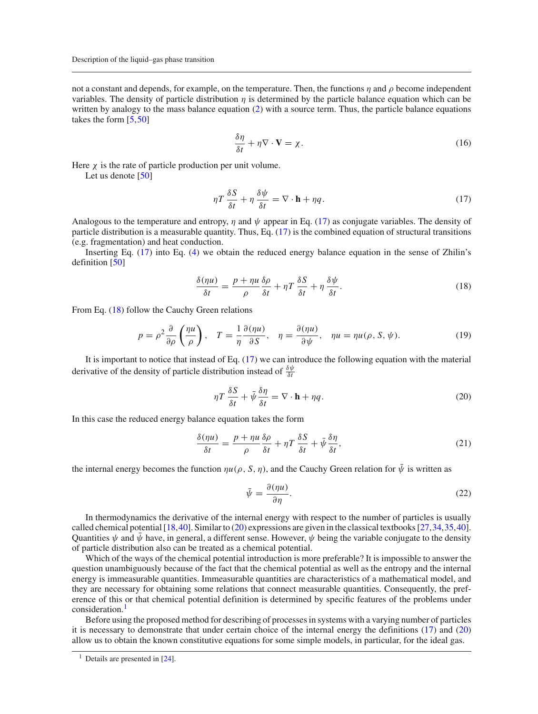not a constant and depends, for example, on the temperature. Then, the functions  $\eta$  and  $\rho$  become independent variables. The density of particle distribution  $\eta$  is determined by the particle balance equation which can be written by analogy to the mass balance equation [\(2\)](#page-3-0) with a source term. Thus, the particle balance equations takes the form [\[5,](#page-23-18)[50](#page-24-15)]

<span id="page-8-5"></span>
$$
\frac{\delta \eta}{\delta t} + \eta \nabla \cdot \mathbf{V} = \chi. \tag{16}
$$

Here  $\chi$  is the rate of particle production per unit volume.

Let us denote [\[50](#page-24-15)]

<span id="page-8-0"></span>
$$
\eta T \frac{\delta S}{\delta t} + \eta \frac{\delta \psi}{\delta t} = \nabla \cdot \mathbf{h} + \eta q. \tag{17}
$$

Analogous to the temperature and entropy,  $\eta$  and  $\psi$  appear in Eq. [\(17\)](#page-8-0) as conjugate variables. The density of particle distribution is a measurable quantity. Thus, Eq. [\(17\)](#page-8-0) is the combined equation of structural transitions (e.g. fragmentation) and heat conduction.

Inserting Eq. [\(17\)](#page-8-0) into Eq. [\(4\)](#page-3-2) we obtain the reduced energy balance equation in the sense of Zhilin's definition [\[50](#page-24-15)]

$$
\frac{\delta(\eta u)}{\delta t} = \frac{p + \eta u}{\rho} \frac{\delta \rho}{\delta t} + \eta T \frac{\delta S}{\delta t} + \eta \frac{\delta \psi}{\delta t}.
$$
\n(18)

From Eq. [\(18\)](#page-8-1) follow the Cauchy Green relations

<span id="page-8-1"></span>
$$
p = \rho^2 \frac{\partial}{\partial \rho} \left( \frac{\eta u}{\rho} \right), \quad T = \frac{1}{\eta} \frac{\partial (\eta u)}{\partial S}, \quad \eta = \frac{\partial (\eta u)}{\partial \psi}, \quad \eta u = \eta u(\rho, S, \psi). \tag{19}
$$

<span id="page-8-4"></span>It is important to notice that instead of Eq. [\(17\)](#page-8-0) we can introduce the following equation with the material derivative of the density of particle distribution instead of  $\frac{\delta \psi}{\delta t}$ 

$$
\eta T \frac{\delta S}{\delta t} + \bar{\psi} \frac{\delta \eta}{\delta t} = \nabla \cdot \mathbf{h} + \eta q. \tag{20}
$$

<span id="page-8-6"></span>In this case the reduced energy balance equation takes the form

<span id="page-8-7"></span><span id="page-8-2"></span>
$$
\frac{\delta(\eta u)}{\delta t} = \frac{p + \eta u}{\rho} \frac{\delta \rho}{\delta t} + \eta T \frac{\delta S}{\delta t} + \bar{\psi} \frac{\delta \eta}{\delta t},\tag{21}
$$

the internal energy becomes the function  $\eta u(\rho, S, \eta)$ , and the Cauchy Green relation for  $\bar{\psi}$  is written as

$$
\bar{\psi} = \frac{\partial(\eta u)}{\partial \eta}.
$$
\n(22)

In thermodynamics the derivative of the internal energy with respect to the number of particles is usually called chemical potential [\[18](#page-23-20)[,40\]](#page-24-2). Similar to [\(20\)](#page-8-2) expressions are given in the classical textbooks [\[27,](#page-23-21)[34](#page-24-17)[,35](#page-24-18),[40\]](#page-24-2). Quantities  $\psi$  and  $\bar{\psi}$  have, in general, a different sense. However,  $\psi$  being the variable conjugate to the density of particle distribution also can be treated as a chemical potential.

Which of the ways of the chemical potential introduction is more preferable? It is impossible to answer the question unambiguously because of the fact that the chemical potential as well as the entropy and the internal energy is immeasurable quantities. Immeasurable quantities are characteristics of a mathematical model, and they are necessary for obtaining some relations that connect measurable quantities. Consequently, the preference of this or that chemical potential definition is determined by specific features of the problems under consideration.<sup>1</sup>

Before using the proposed method for describing of processes in systems with a varying number of particles it is necessary to demonstrate that under certain choice of the internal energy the definitions [\(17\)](#page-8-0) and [\(20\)](#page-8-2) allow us to obtain the known constitutive equations for some simple models, in particular, for the ideal gas.

<span id="page-8-3"></span><sup>&</sup>lt;sup>1</sup> Details are presented in  $[24]$ .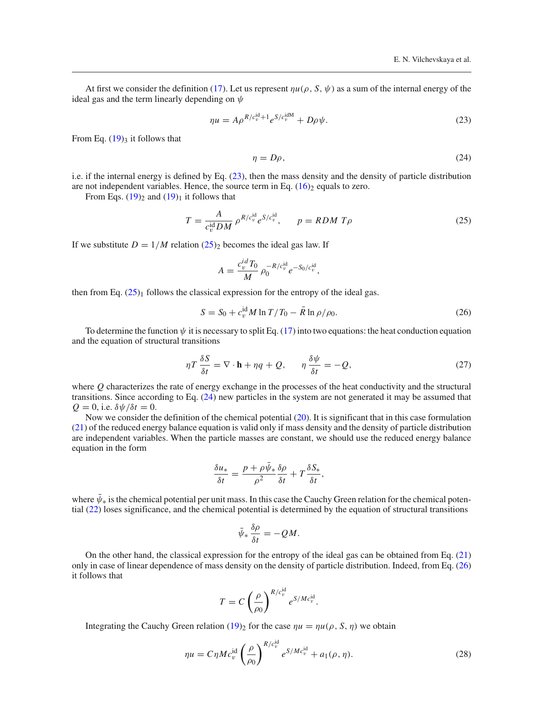At first we consider the definition [\(17\)](#page-8-0). Let us represent  $\eta u(\rho, S, \psi)$  as a sum of the internal energy of the ideal gas and the term linearly depending on  $\psi$ 

<span id="page-9-2"></span><span id="page-9-0"></span>
$$
\eta u = A \rho^{R/c_v^{\text{id}} + 1} e^{S/c_v^{\text{idM}}} + D \rho \psi. \tag{23}
$$

From Eq.  $(19)$ <sub>3</sub> it follows that

$$
\eta = D\rho,\tag{24}
$$

i.e. if the internal energy is defined by Eq. [\(23\)](#page-9-0), then the mass density and the density of particle distribution are not independent variables. Hence, the source term in Eq.  $(16)_2$  $(16)_2$  equals to zero.

<span id="page-9-1"></span>From Eqs.  $(19)_2$  $(19)_2$  and  $(19)_1$  it follows that

$$
T = \frac{A}{c_v^{\text{id}} DM} \rho^{R/c_v^{\text{id}}} e^{S/c_v^{\text{id}}}, \qquad p = RDM \ T\rho \tag{25}
$$

If we substitute  $D = 1/M$  relation  $(25)_2$  $(25)_2$  becomes the ideal gas law. If

$$
A = \frac{c_v^{id} T_0}{M} \rho_0^{-R/c_v^{id}} e^{-S_0/c_v^{id}},
$$

then from Eq.  $(25)_1$  $(25)_1$  follows the classical expression for the entropy of the ideal gas.

<span id="page-9-3"></span>
$$
S = S_0 + c_v^{\rm id} M \ln T / T_0 - \bar{R} \ln \rho / \rho_0.
$$
 (26)

To determine the function  $\psi$  it is necessary to split Eq. [\(17\)](#page-8-0) into two equations: the heat conduction equation and the equation of structural transitions

$$
\eta T \frac{\delta S}{\delta t} = \nabla \cdot \mathbf{h} + \eta q + Q, \qquad \eta \frac{\delta \psi}{\delta t} = -Q,\tag{27}
$$

<span id="page-9-5"></span>where *Q* characterizes the rate of energy exchange in the processes of the heat conductivity and the structural transitions. Since according to Eq. [\(24\)](#page-9-2) new particles in the system are not generated it may be assumed that  $Q = 0$ , i.e.  $\delta \psi / \delta t = 0$ .

Now we consider the definition of the chemical potential [\(20\)](#page-8-2). It is significant that in this case formulation [\(21\)](#page-8-6) of the reduced energy balance equation is valid only if mass density and the density of particle distribution are independent variables. When the particle masses are constant, we should use the reduced energy balance equation in the form

$$
\frac{\delta u_*}{\delta t} = \frac{p + \rho \bar{\psi}_*}{\rho^2} \frac{\delta \rho}{\delta t} + T \frac{\delta S_*}{\delta t},
$$

where  $\bar{\psi}_*$  is the chemical potential per unit mass. In this case the Cauchy Green relation for the chemical potential [\(22\)](#page-8-7) loses significance, and the chemical potential is determined by the equation of structural transitions

$$
\bar{\psi}_*\frac{\delta\rho}{\delta t}=-QM.
$$

On the other hand, the classical expression for the entropy of the ideal gas can be obtained from Eq. [\(21\)](#page-8-6) only in case of linear dependence of mass density on the density of particle distribution. Indeed, from Eq. [\(26\)](#page-9-3) it follows that

$$
T = C \left(\frac{\rho}{\rho_0}\right)^{R/c_v^{\text{id}}} e^{S/Mc_v^{\text{id}}}.
$$

<span id="page-9-4"></span>Integrating the Cauchy Green relation  $(19)_2$  $(19)_2$  for the case  $\eta u = \eta u(\rho, S, \eta)$  we obtain

$$
\eta u = C \eta M c_v^{\text{id}} \left(\frac{\rho}{\rho_0}\right)^{R/c_v^{\text{id}}} e^{S/M c_v^{\text{id}}} + a_1(\rho, \eta). \tag{28}
$$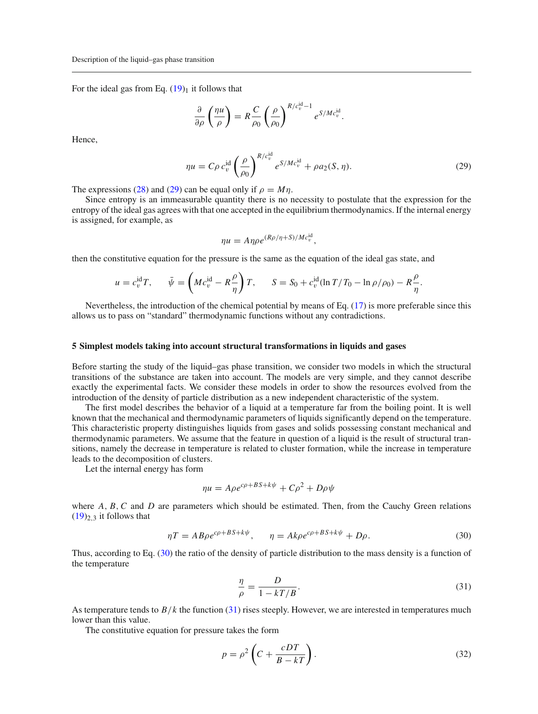For the ideal gas from Eq.  $(19)_1$  $(19)_1$  it follows that

$$
\frac{\partial}{\partial \rho} \left( \frac{\eta u}{\rho} \right) = R \frac{C}{\rho_0} \left( \frac{\rho}{\rho_0} \right)^{R/c_v^{\rm id} - 1} e^{S/Mc_v^{\rm id}}.
$$

Hence,

$$
\eta u = C \rho c_v^{\rm id} \left(\frac{\rho}{\rho_0}\right)^{R/c_v^{\rm id}} e^{S/Mc_v^{\rm id}} + \rho a_2(S, \eta). \tag{29}
$$

<span id="page-10-0"></span>The expressions [\(28\)](#page-9-4) and [\(29\)](#page-10-0) can be equal only if  $\rho = Mn$ .

Since entropy is an immeasurable quantity there is no necessity to postulate that the expression for the entropy of the ideal gas agrees with that one accepted in the equilibrium thermodynamics. If the internal energy is assigned, for example, as

$$
\eta u = A\eta \rho e^{(R\rho/\eta + S)/Mc_v^{\rm id}},
$$

then the constitutive equation for the pressure is the same as the equation of the ideal gas state, and

$$
u = c_v^{\rm id} T, \qquad \bar{\psi} = \left( M c_v^{\rm id} - R \frac{\rho}{\eta} \right) T, \qquad S = S_0 + c_v^{\rm id} (\ln T / T_0 - \ln \rho / \rho_0) - R \frac{\rho}{\eta}.
$$

Nevertheless, the introduction of the chemical potential by means of Eq. [\(17\)](#page-8-0) is more preferable since this allows us to pass on "standard" thermodynamic functions without any contradictions.

#### **5 Simplest models taking into account structural transformations in liquids and gases**

Before starting the study of the liquid–gas phase transition, we consider two models in which the structural transitions of the substance are taken into account. The models are very simple, and they cannot describe exactly the experimental facts. We consider these models in order to show the resources evolved from the introduction of the density of particle distribution as a new independent characteristic of the system.

The first model describes the behavior of a liquid at a temperature far from the boiling point. It is well known that the mechanical and thermodynamic parameters of liquids significantly depend on the temperature. This characteristic property distinguishes liquids from gases and solids possessing constant mechanical and thermodynamic parameters. We assume that the feature in question of a liquid is the result of structural transitions, namely the decrease in temperature is related to cluster formation, while the increase in temperature leads to the decomposition of clusters.

Let the internal energy has form

$$
\eta u = A\rho e^{c\rho + BS + k\psi} + C\rho^2 + D\rho\psi
$$

where *A*, *B*, *C* and *D* are parameters which should be estimated. Then, from the Cauchy Green relations  $(19)_{2,3}$  $(19)_{2,3}$  it follows that

<span id="page-10-2"></span>
$$
\eta T = AB\rho e^{c\rho + BS + k\psi}, \qquad \eta = Ak\rho e^{c\rho + BS + k\psi} + D\rho. \tag{30}
$$

<span id="page-10-1"></span>Thus, according to Eq. [\(30\)](#page-10-1) the ratio of the density of particle distribution to the mass density is a function of the temperature

$$
\frac{\eta}{\rho} = \frac{D}{1 - kT/B}.\tag{31}
$$

As temperature tends to  $B/k$  the function  $(31)$  rises steeply. However, we are interested in temperatures much lower than this value.

The constitutive equation for pressure takes the form

<span id="page-10-3"></span>
$$
p = \rho^2 \left( C + \frac{cDT}{B - kT} \right). \tag{32}
$$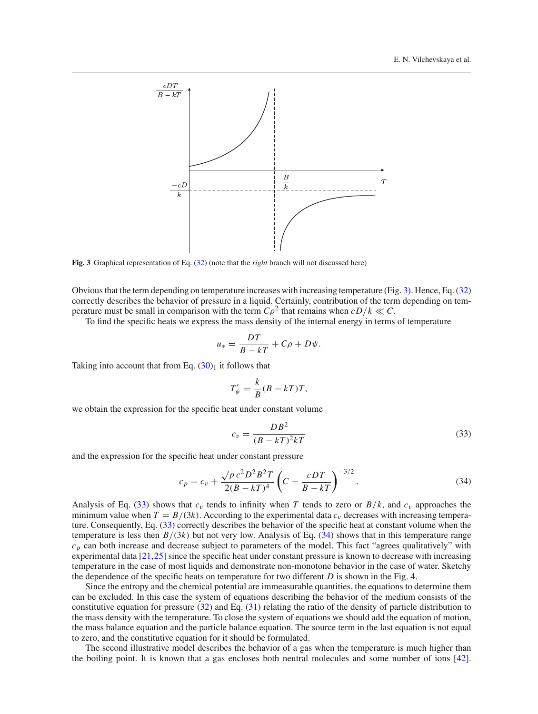

<span id="page-11-0"></span>**Fig. 3** Graphical representation of Eq. [\(32\)](#page-10-3) (note that the *right* branch will not discussed here)

Obvious that the term depending on temperature increases with increasing temperature (Fig. [3\)](#page-11-0). Hence, Eq. [\(32\)](#page-10-3) correctly describes the behavior of pressure in a liquid. Certainly, contribution of the term depending on temperature must be small in comparison with the term  $C\rho^2$  that remains when  $cD/k \ll C$ .

To find the specific heats we express the mass density of the internal energy in terms of temperature

$$
u_* = \frac{DT}{B - kT} + C\rho + D\psi.
$$

Taking into account that from Eq.  $(30)_1$  $(30)_1$  it follows that

$$
T'_{\psi} = \frac{k}{B}(B - kT)T,
$$

we obtain the expression for the specific heat under constant volume

$$
c_v = \frac{DB^2}{(B - kT)^2 kT}
$$
\n<sup>(33)</sup>

and the expression for the specific heat under constant pressure

<span id="page-11-1"></span>
$$
c_p = c_v + \frac{\sqrt{p} c^2 D^2 B^2 T}{2(B - kT)^4} \left( C + \frac{cDT}{B - kT} \right)^{-3/2}.
$$
 (34)

<span id="page-11-2"></span>Analysis of Eq. [\(33\)](#page-11-1) shows that  $c_v$  tends to infinity when *T* tends to zero or  $B/k$ , and  $c_v$  approaches the minimum value when  $T = B/(3k)$ . According to the experimental data  $c<sub>v</sub>$  decreases with increasing temperature. Consequently, Eq. [\(33\)](#page-11-1) correctly describes the behavior of the specific heat at constant volume when the temperature is less then  $B/(3k)$  but not very low. Analysis of Eq. [\(34\)](#page-11-2) shows that in this temperature range *cp* can both increase and decrease subject to parameters of the model. This fact "agrees qualitatively" with experimental data [\[21](#page-23-23),[25\]](#page-23-24) since the specific heat under constant pressure is known to decrease with increasing temperature in the case of most liquids and demonstrate non-monotone behavior in the case of water. Sketchy the dependence of the specific heats on temperature for two different *D* is shown in the Fig. [4.](#page-12-0)

Since the entropy and the chemical potential are immeasurable quantities, the equations to determine them can be excluded. In this case the system of equations describing the behavior of the medium consists of the constitutive equation for pressure  $(32)$  and Eq.  $(31)$  relating the ratio of the density of particle distribution to the mass density with the temperature. To close the system of equations we should add the equation of motion, the mass balance equation and the particle balance equation. The source term in the last equation is not equal to zero, and the constitutive equation for it should be formulated.

The second illustrative model describes the behavior of a gas when the temperature is much higher than the boiling point. It is known that a gas encloses both neutral molecules and some number of ions [\[42\]](#page-24-19).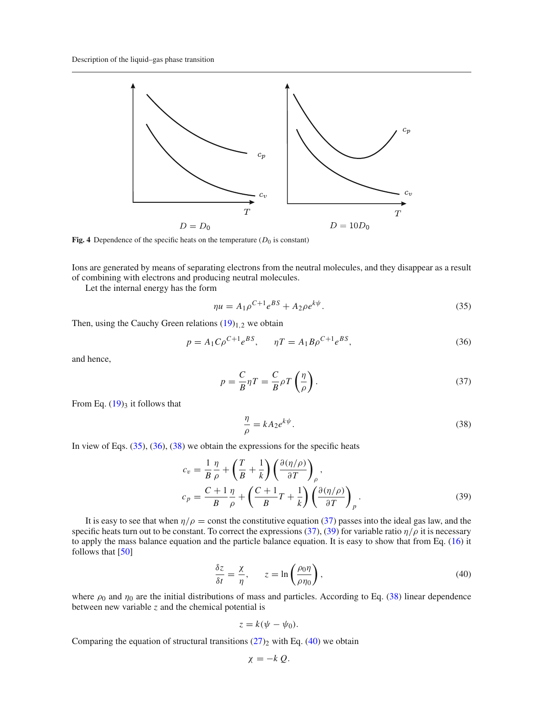

<span id="page-12-0"></span>**Fig. 4** Dependence of the specific heats on the temperature  $(D_0$  is constant)

Ions are generated by means of separating electrons from the neutral molecules, and they disappear as a result of combining with electrons and producing neutral molecules.

Let the internal energy has the form

$$
\eta u = A_1 \rho^{C+1} e^{BS} + A_2 \rho e^{k\psi}.
$$
\n(35)

<span id="page-12-2"></span>Then, using the Cauchy Green relations  $(19)_{1,2}$  $(19)_{1,2}$  we obtain

<span id="page-12-4"></span><span id="page-12-1"></span>
$$
p = A_1 C \rho^{C+1} e^{BS}, \qquad \eta T = A_1 B \rho^{C+1} e^{BS}, \tag{36}
$$

and hence,

$$
p = \frac{C}{B} \eta T = \frac{C}{B} \rho T \left(\frac{\eta}{\rho}\right). \tag{37}
$$

From Eq.  $(19)$ <sub>3</sub> it follows that

$$
\frac{\eta}{\rho} = kA_2 e^{k\psi}.\tag{38}
$$

<span id="page-12-5"></span>In view of Eqs.  $(35)$ ,  $(36)$ ,  $(38)$  we obtain the expressions for the specific heats

<span id="page-12-3"></span>
$$
c_v = \frac{1}{B} \frac{\eta}{\rho} + \left(\frac{T}{B} + \frac{1}{k}\right) \left(\frac{\partial(\eta/\rho)}{\partial T}\right)_{\rho},
$$
  

$$
c_p = \frac{C + 1}{B} \frac{\eta}{\rho} + \left(\frac{C + 1}{B} T + \frac{1}{k}\right) \left(\frac{\partial(\eta/\rho)}{\partial T}\right)_{p}.
$$
 (39)

It is easy to see that when  $\eta/\rho$  = const the constitutive equation [\(37\)](#page-12-4) passes into the ideal gas law, and the specific heats turn out to be constant. To correct the expressions [\(37\)](#page-12-4), [\(39\)](#page-12-5) for variable ratio  $\eta/\rho$  it is necessary to apply the mass balance equation and the particle balance equation. It is easy to show that from Eq. [\(16\)](#page-8-5) it follows that [\[50\]](#page-24-15)

<span id="page-12-6"></span>
$$
\frac{\delta z}{\delta t} = \frac{\chi}{\eta}, \qquad z = \ln\left(\frac{\rho_0 \eta}{\rho \eta_0}\right),\tag{40}
$$

where  $\rho_0$  and  $\eta_0$  are the initial distributions of mass and particles. According to Eq. [\(38\)](#page-12-3) linear dependence between new variable *z* and the chemical potential is

$$
z=k(\psi-\psi_0).
$$

Comparing the equation of structural transitions  $(27)_2$  $(27)_2$  with Eq. [\(40\)](#page-12-6) we obtain

$$
\chi=-k\,Q.
$$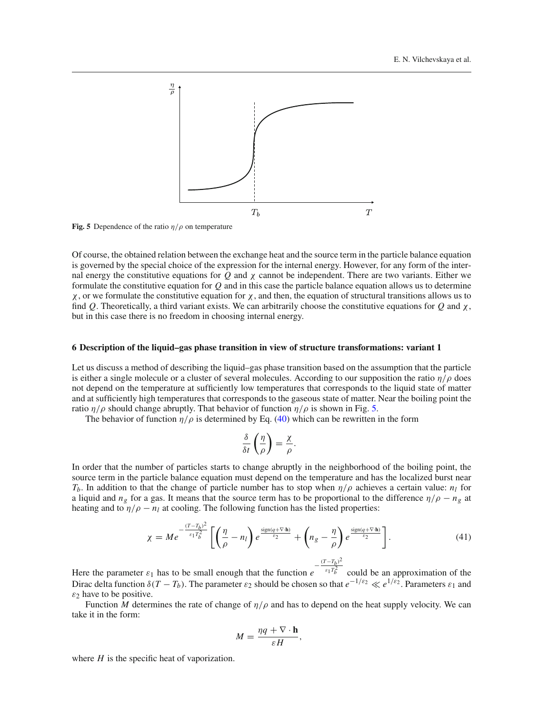

<span id="page-13-0"></span>**Fig. 5** Dependence of the ratio  $\eta/\rho$  on temperature

Of course, the obtained relation between the exchange heat and the source term in the particle balance equation is governed by the special choice of the expression for the internal energy. However, for any form of the internal energy the constitutive equations for *Q* and χ cannot be independent. There are two variants. Either we formulate the constitutive equation for *Q* and in this case the particle balance equation allows us to determine  $\chi$ , or we formulate the constitutive equation for  $\chi$ , and then, the equation of structural transitions allows us to find *Q*. Theoretically, a third variant exists. We can arbitrarily choose the constitutive equations for *Q* and χ, but in this case there is no freedom in choosing internal energy.

#### **6 Description of the liquid–gas phase transition in view of structure transformations: variant 1**

Let us discuss a method of describing the liquid–gas phase transition based on the assumption that the particle is either a single molecule or a cluster of several molecules. According to our supposition the ratio  $\eta/\rho$  does not depend on the temperature at sufficiently low temperatures that corresponds to the liquid state of matter and at sufficiently high temperatures that corresponds to the gaseous state of matter. Near the boiling point the ratio  $\eta/\rho$  should change abruptly. That behavior of function  $\eta/\rho$  is shown in Fig. [5.](#page-13-0)

The behavior of function  $\eta/\rho$  is determined by Eq. [\(40\)](#page-12-6) which can be rewritten in the form

$$
\frac{\delta}{\delta t}\left(\frac{\eta}{\rho}\right)=\frac{\chi}{\rho}.
$$

In order that the number of particles starts to change abruptly in the neighborhood of the boiling point, the source term in the particle balance equation must depend on the temperature and has the localized burst near *T<sub>b</sub>*. In addition to that the change of particle number has to stop when  $\eta/\rho$  achieves a certain value:  $n_l$  for a liquid and  $n_g$  for a gas. It means that the source term has to be proportional to the difference  $\eta/\rho - n_g$  at heating and to  $\eta/\rho - n_l$  at cooling. The following function has the listed properties:

$$
\chi = Me^{-\frac{(T-T_b)^2}{\varepsilon_1 T_b^2}} \left[ \left( \frac{\eta}{\rho} - n_l \right) e^{\frac{\text{sign}(q+\nabla \cdot \mathbf{h})}{\varepsilon_2}} + \left( n_g - \frac{\eta}{\rho} \right) e^{\frac{\text{sign}(q+\nabla \cdot \mathbf{h})}{\varepsilon_2}} \right].
$$
 (41)

<span id="page-13-1"></span>Here the parameter  $\varepsilon_1$  has to be small enough that the function  $e$  $-\frac{(T-T_b)^2}{\epsilon_1 T_b^2}$  could be an approximation of the Dirac delta function  $\delta(T - T_b)$ . The parameter  $\varepsilon_2$  should be chosen so that  $e^{-1/\varepsilon_2} \ll e^{1/\varepsilon_2}$ . Parameters  $\varepsilon_1$  and  $\varepsilon_2$  have to be positive.

Function *M* determines the rate of change of  $\eta/\rho$  and has to depend on the heat supply velocity. We can take it in the form:

$$
M = \frac{\eta q + \nabla \cdot \mathbf{h}}{\varepsilon H},
$$

where *H* is the specific heat of vaporization.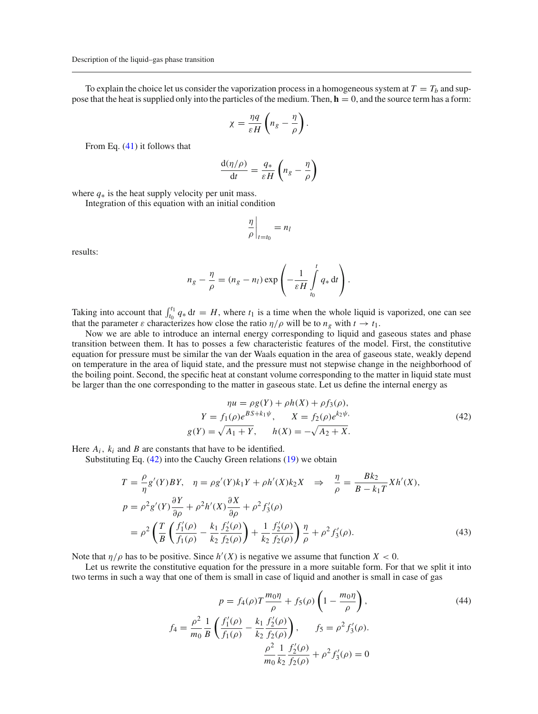To explain the choice let us consider the vaporization process in a homogeneous system at  $T = T_b$  and suppose that the heat is supplied only into the particles of the medium. Then,  $\mathbf{h} = 0$ , and the source term has a form:

$$
\chi = \frac{\eta q}{\varepsilon H} \left( n_g - \frac{\eta}{\rho} \right).
$$

From Eq. [\(41\)](#page-13-1) it follows that

$$
\frac{\mathrm{d}(\eta/\rho)}{\mathrm{d}t} = \frac{q_*}{\varepsilon H} \left( n_g - \frac{\eta}{\rho} \right)
$$

where  $q_*$  is the heat supply velocity per unit mass.

Integration of this equation with an initial condition

$$
\left.\frac{\eta}{\rho}\right|_{t=t_0} = n_l
$$

results:

$$
n_g - \frac{\eta}{\rho} = (n_g - n_l) \exp\left(-\frac{1}{\varepsilon H} \int\limits_{t_0}^t q_* \, \mathrm{d}t\right).
$$

Taking into account that  $\int_{t_0}^{t_1} q_* dt = H$ , where  $t_1$  is a time when the whole liquid is vaporized, one can see that the parameter  $\varepsilon$  characterizes how close the ratio  $\eta/\rho$  will be to  $n_g$  with  $t \to t_1$ .

Now we are able to introduce an internal energy corresponding to liquid and gaseous states and phase transition between them. It has to posses a few characteristic features of the model. First, the constitutive equation for pressure must be similar the van der Waals equation in the area of gaseous state, weakly depend on temperature in the area of liquid state, and the pressure must not stepwise change in the neighborhood of the boiling point. Second, the specific heat at constant volume corresponding to the matter in liquid state must be larger than the one corresponding to the matter in gaseous state. Let us define the internal energy as

<span id="page-14-0"></span>
$$
\eta u = \rho g(Y) + \rho h(X) + \rho f_3(\rho),
$$
  
\n
$$
Y = f_1(\rho) e^{BS + k_1 \psi}, \qquad X = f_2(\rho) e^{k_2 \psi},
$$
  
\n
$$
g(Y) = \sqrt{A_1 + Y}, \qquad h(X) = -\sqrt{A_2 + X}.
$$
\n(42)

Here  $A_i$ ,  $k_i$  and  $B$  are constants that have to be identified.

<span id="page-14-2"></span>Substituting Eq. [\(42\)](#page-14-0) into the Cauchy Green relations [\(19\)](#page-8-4) we obtain

$$
T = \frac{\rho}{\eta} g'(Y)BY, \quad \eta = \rho g'(Y)k_1Y + \rho h'(X)k_2X \quad \Rightarrow \quad \frac{\eta}{\rho} = \frac{Bk_2}{B - k_1T} Xh'(X),
$$
  

$$
p = \rho^2 g'(Y) \frac{\partial Y}{\partial \rho} + \rho^2 h'(X) \frac{\partial X}{\partial \rho} + \rho^2 f'_3(\rho)
$$
  

$$
= \rho^2 \left( \frac{T}{B} \left( \frac{f'_1(\rho)}{f_1(\rho)} - \frac{k_1}{k_2} \frac{f'_2(\rho)}{f_2(\rho)} \right) + \frac{1}{k_2} \frac{f'_2(\rho)}{f_2(\rho)} \right) \frac{\eta}{\rho} + \rho^2 f'_3(\rho).
$$
 (43)

Note that  $\eta/\rho$  has to be positive. Since  $h'(X)$  is negative we assume that function  $X < 0$ .

Let us rewrite the constitutive equation for the pressure in a more suitable form. For that we split it into two terms in such a way that one of them is small in case of liquid and another is small in case of gas

<span id="page-14-1"></span>
$$
p = f_4(\rho) T \frac{m_0 \eta}{\rho} + f_5(\rho) \left( 1 - \frac{m_0 \eta}{\rho} \right),
$$
(44)  

$$
f_4 = \frac{\rho^2}{m_0} \frac{1}{B} \left( \frac{f'_1(\rho)}{f_1(\rho)} - \frac{k_1}{k_2} \frac{f'_2(\rho)}{f_2(\rho)} \right), \qquad f_5 = \rho^2 f'_3(\rho).
$$
  

$$
\frac{\rho^2}{m_0} \frac{1}{k_2} \frac{f'_2(\rho)}{f_2(\rho)} + \rho^2 f'_3(\rho) = 0
$$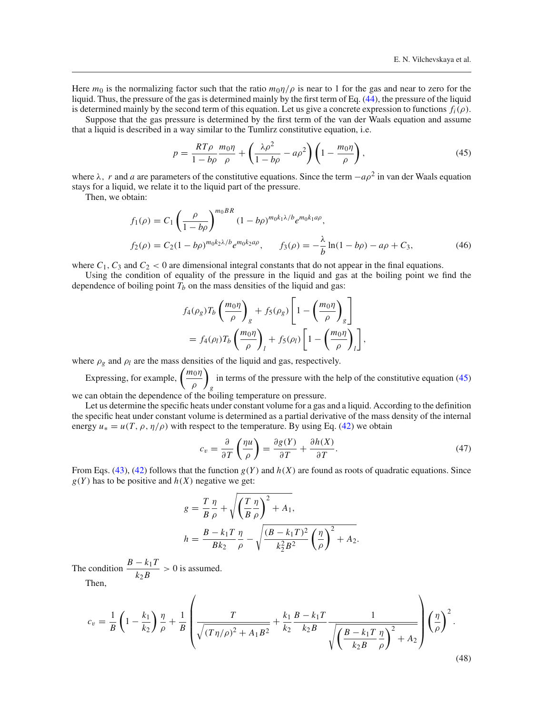Here  $m_0$  is the normalizing factor such that the ratio  $m_0\eta/\rho$  is near to 1 for the gas and near to zero for the liquid. Thus, the pressure of the gas is determined mainly by the first term of Eq. [\(44\)](#page-14-1), the pressure of the liquid is determined mainly by the second term of this equation. Let us give a concrete expression to functions  $f_i(\rho)$ .

Suppose that the gas pressure is determined by the first term of the van der Waals equation and assume that a liquid is described in a way similar to the Tumlirz constitutive equation, i.e.

$$
p = \frac{RT\rho}{1 - b\rho} \frac{m_0 \eta}{\rho} + \left(\frac{\lambda \rho^2}{1 - b\rho} - a\rho^2\right) \left(1 - \frac{m_0 \eta}{\rho}\right),\tag{45}
$$

<span id="page-15-0"></span>where  $\lambda$ , *r* and *a* are parameters of the constitutive equations. Since the term  $-a\rho^2$  in van der Waals equation stays for a liquid, we relate it to the liquid part of the pressure.

<span id="page-15-2"></span>Then, we obtain:

$$
f_1(\rho) = C_1 \left( \frac{\rho}{1 - b\rho} \right)^{m_0 BR} (1 - b\rho)^{m_0 k_1 \lambda/b} e^{m_0 k_1 a\rho},
$$
  
\n
$$
f_2(\rho) = C_2 (1 - b\rho)^{m_0 k_2 \lambda/b} e^{m_0 k_2 a\rho}, \qquad f_3(\rho) = -\frac{\lambda}{b} \ln(1 - b\rho) - a\rho + C_3,
$$
\n(46)

where  $C_1$ ,  $C_3$  and  $C_2$  < 0 are dimensional integral constants that do not appear in the final equations.

Using the condition of equality of the pressure in the liquid and gas at the boiling point we find the dependence of boiling point  $T_b$  on the mass densities of the liquid and gas:

$$
f_4(\rho_g)T_b \left(\frac{m_0 \eta}{\rho}\right)_g + f_5(\rho_g) \left[1 - \left(\frac{m_0 \eta}{\rho}\right)_g\right]
$$
  
=  $f_4(\rho_l)T_b \left(\frac{m_0 \eta}{\rho}\right)_l + f_5(\rho_l) \left[1 - \left(\frac{m_0 \eta}{\rho}\right)_l\right],$ 

where  $\rho_g$  and  $\rho_l$  are the mass densities of the liquid and gas, respectively.

Expressing, for example,  $\left(\frac{m_0\eta}{\rho}\right)$  $\lambda$ *g* in terms of the pressure with the help of the constitutive equation [\(45\)](#page-15-0)

we can obtain the dependence of the boiling temperature on pressure.

Let us determine the specific heats under constant volume for a gas and a liquid. According to the definition the specific heat under constant volume is determined as a partial derivative of the mass density of the internal energy  $u_* = u(T, \rho, \eta/\rho)$  with respect to the temperature. By using Eq. [\(42\)](#page-14-0) we obtain

$$
c_v = \frac{\partial}{\partial T} \left( \frac{\eta u}{\rho} \right) = \frac{\partial g(Y)}{\partial T} + \frac{\partial h(X)}{\partial T}.
$$
 (47)

<span id="page-15-3"></span>From Eqs. [\(43\)](#page-14-2), [\(42\)](#page-14-0) follows that the function  $g(Y)$  and  $h(X)$  are found as roots of quadratic equations. Since  $g(Y)$  has to be positive and  $h(X)$  negative we get:

$$
g = \frac{T}{B} \frac{\eta}{\rho} + \sqrt{\left(\frac{T}{B} \frac{\eta}{\rho}\right)^2 + A_1},
$$
  

$$
h = \frac{B - k_1 T}{B k_2} \frac{\eta}{\rho} - \sqrt{\frac{(B - k_1 T)^2}{k_2^2 B^2} \left(\frac{\eta}{\rho}\right)^2 + A_2}.
$$

The condition  $\frac{B - k_1 T}{l}$  $\frac{R_1 R}{k_2 B} > 0$  is assumed. Then,

<span id="page-15-1"></span>
$$
c_v = \frac{1}{B} \left( 1 - \frac{k_1}{k_2} \right) \frac{\eta}{\rho} + \frac{1}{B} \left( \frac{T}{\sqrt{(T\eta/\rho)^2 + A_1 B^2}} + \frac{k_1}{k_2} \frac{B - k_1 T}{k_2 B} \frac{1}{\sqrt{\left( \frac{B - k_1 T}{k_2 B} \frac{\eta}{\rho} \right)^2 + A_2}} \right) \left( \frac{\eta}{\rho} \right)^2.
$$
\n(48)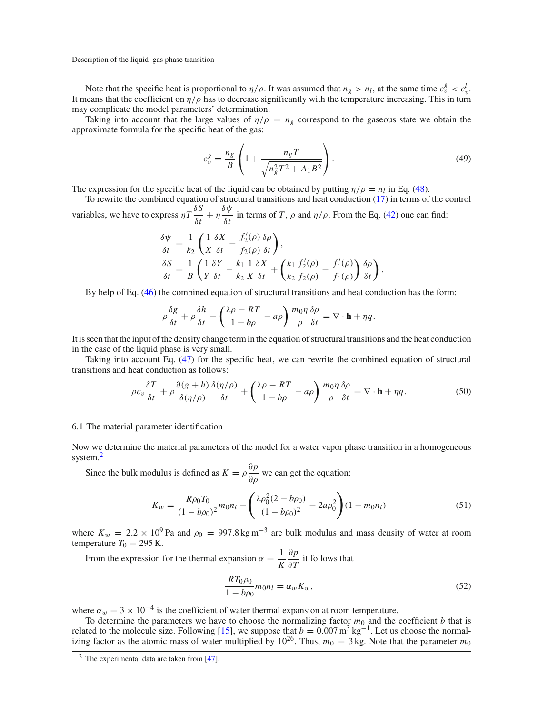Note that the specific heat is proportional to  $\eta/\rho$ . It was assumed that  $n_g > n_l$ , at the same time  $c_v^g < c_v^l$ . It means that the coefficient on  $\eta/\rho$  has to decrease significantly with the temperature increasing. This in turn may complicate the model parameters' determination.

Taking into account that the large values of  $\eta/\rho = n_g$  correspond to the gaseous state we obtain the approximate formula for the specific heat of the gas:

<span id="page-16-3"></span>
$$
c_v^g = \frac{n_g}{B} \left( 1 + \frac{n_g T}{\sqrt{n_g^2 T^2 + A_1 B^2}} \right). \tag{49}
$$

.

The expression for the specific heat of the liquid can be obtained by putting  $\eta/\rho = n_l$  in Eq. [\(48\)](#page-15-1).

To rewrite the combined equation of structural transitions and heat conduction [\(17\)](#page-8-0) in terms of the control variables, we have to express  $\eta T \frac{\delta S}{\delta t}$  $\frac{\delta S}{\delta t} + \eta \frac{\delta \psi}{\delta t}$  $\frac{\partial \phi}{\partial t}$  in terms of *T*,  $\rho$  and  $\eta/\rho$ . From the Eq. [\(42\)](#page-14-0) one can find:

$$
\frac{\delta \psi}{\delta t} = \frac{1}{k_2} \left( \frac{1}{X} \frac{\delta X}{\delta t} - \frac{f'_2(\rho)}{f_2(\rho)} \frac{\delta \rho}{\delta t} \right),\n\n\frac{\delta S}{\delta t} = \frac{1}{B} \left( \frac{1}{Y} \frac{\delta Y}{\delta t} - \frac{k_1}{k_2} \frac{1}{X} \frac{\delta X}{\delta t} + \left( \frac{k_1}{k_2} \frac{f'_2(\rho)}{f_2(\rho)} - \frac{f'_1(\rho)}{f_1(\rho)} \right) \frac{\delta \rho}{\delta t} \right)
$$

By help of Eq. [\(46\)](#page-15-2) the combined equation of structural transitions and heat conduction has the form:

$$
\rho \frac{\delta g}{\delta t} + \rho \frac{\delta h}{\delta t} + \left( \frac{\lambda \rho - RT}{1 - b\rho} - a\rho \right) \frac{m_0 \eta}{\rho} \frac{\delta \rho}{\delta t} = \nabla \cdot \mathbf{h} + \eta q.
$$

It is seen that the input of the density change term in the equation of structural transitions and the heat conduction in the case of the liquid phase is very small.

<span id="page-16-4"></span>Taking into account Eq. [\(47\)](#page-15-3) for the specific heat, we can rewrite the combined equation of structural transitions and heat conduction as follows:

$$
\rho c_v \frac{\delta T}{\delta t} + \rho \frac{\partial (g+h)}{\delta (\eta/\rho)} \frac{\delta (\eta/\rho)}{\delta t} + \left( \frac{\lambda \rho - RT}{1 - b\rho} - a\rho \right) \frac{m_0 \eta}{\rho} \frac{\delta \rho}{\delta t} = \nabla \cdot \mathbf{h} + \eta q. \tag{50}
$$

#### 6.1 The material parameter identification

Now we determine the material parameters of the model for a water vapor phase transition in a homogeneous system.<sup>2</sup>

Since the bulk modulus is defined as  $K = \rho \frac{\partial p}{\partial \rho}$  we can get the equation:

$$
K_w = \frac{R\rho_0 T_0}{(1 - b\rho_0)^2} m_0 n_l + \left(\frac{\lambda \rho_0^2 (2 - b\rho_0)}{(1 - b\rho_0)^2} - 2a\rho_0^2\right) (1 - m_0 n_l)
$$
(51)

<span id="page-16-1"></span>where  $K_w = 2.2 \times 10^9$  Pa and  $\rho_0 = 997.8$  kg m<sup>-3</sup> are bulk modulus and mass density of water at room temperature  $T_0 = 295$  K.

From the expression for the thermal expansion  $\alpha = \frac{1}{K}$ ∂*p*  $\frac{\partial P}{\partial T}$  it follows that

<span id="page-16-2"></span>
$$
\frac{RT_0\rho_0}{1 - b\rho_0}m_0n_l = \alpha_w K_w,\tag{52}
$$

where  $\alpha_w = 3 \times 10^{-4}$  is the coefficient of water thermal expansion at room temperature.

To determine the parameters we have to choose the normalizing factor  $m_0$  and the coefficient *b* that is related to the molecule size. Following [\[15\]](#page-23-25), we suppose that  $b = 0.007 \text{ m}^3 \text{ kg}^{-1}$ . Let us choose the normalizing factor as the atomic mass of water multiplied by  $10^{26}$ . Thus,  $m_0 = 3$  kg. Note that the parameter  $m_0$ 

<span id="page-16-0"></span><sup>&</sup>lt;sup>2</sup> The experimental data are taken from  $[47]$  $[47]$ .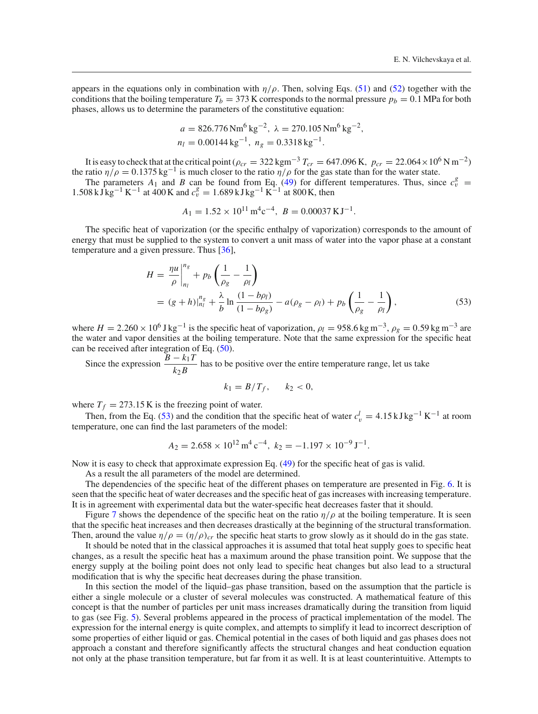appears in the equations only in combination with  $\eta/\rho$ . Then, solving Eqs. [\(51\)](#page-16-1) and [\(52\)](#page-16-2) together with the conditions that the boiling temperature  $T_b = 373$  K corresponds to the normal pressure  $p_b = 0.1$  MPa for both phases, allows us to determine the parameters of the constitutive equation:

$$
a = 826.776 \text{ Nm}^6 \text{ kg}^{-2}, \ \lambda = 270.105 \text{ Nm}^6 \text{ kg}^{-2},
$$
  
 $n_l = 0.00144 \text{ kg}^{-1}, \ n_g = 0.3318 \text{ kg}^{-1}.$ 

It is easy to check that at the critical point ( $\rho_{cr} = 322 \text{ kgm}^{-3}$   $T_{cr} = 647.096 \text{ K}$ ,  $p_{cr} = 22.064 \times 10^6 \text{ N m}^{-2}$ ) the ratio  $\eta/\rho = 0.1375 \text{ kg}^{-1}$  is much closer to the ratio  $\eta/\rho$  for the gas state than for the water state.

The parameters *A*<sub>1</sub> and *B* can be found from Eq. [\(49\)](#page-16-3) for different temperatures. Thus, since  $c_v^g = 1.508 \text{ kJ kg}^{-1} \text{ K}^{-1}$  at 400 K and  $c_v^g = 1.689 \text{ kJ kg}^{-1} \text{ K}^{-1}$  at 800 K, then

$$
A_1 = 1.52 \times 10^{11} \,\mathrm{m}^4 \mathrm{c}^{-4}, \ B = 0.00037 \,\mathrm{K} \,\mathrm{J}^{-1}.
$$

<span id="page-17-0"></span>The specific heat of vaporization (or the specific enthalpy of vaporization) corresponds to the amount of energy that must be supplied to the system to convert a unit mass of water into the vapor phase at a constant temperature and a given pressure. Thus [\[36](#page-24-1)],

$$
H = \frac{\eta u}{\rho} \Big|_{n_l}^{n_g} + p_b \left( \frac{1}{\rho_g} - \frac{1}{\rho_l} \right)
$$
  
=  $(g + h) \Big|_{n_l}^{n_g} + \frac{\lambda}{b} \ln \frac{(1 - b\rho_l)}{(1 - b\rho_g)} - a(\rho_g - \rho_l) + p_b \left( \frac{1}{\rho_g} - \frac{1}{\rho_l} \right),$  (53)

where  $H = 2.260 \times 10^6$  J kg<sup>-1</sup> is the specific heat of vaporization,  $\rho_l = 958.6$  kg m<sup>-3</sup>,  $\rho_g = 0.59$  kg m<sup>-3</sup> are the water and vapor densities at the boiling temperature. Note that the same expression for the specific heat can be received after integration of Eq. [\(50\)](#page-16-4).

Since the expression  $\frac{B - k_1 T}{k_2 B}$  has to be positive over the entire temperature range, let us take

$$
k_1=B/T_f, \qquad k_2<0,
$$

where  $T_f = 273.15$  K is the freezing point of water.

Then, from the Eq. [\(53\)](#page-17-0) and the condition that the specific heat of water  $c_v^l = 4.15 \text{ kJ kg}^{-1} \text{ K}^{-1}$  at room temperature, one can find the last parameters of the model:

$$
A_2 = 2.658 \times 10^{12} \,\mathrm{m}^4 \,\mathrm{c}^{-4}, \ k_2 = -1.197 \times 10^{-9} \,\mathrm{J}^{-1}.
$$

Now it is easy to check that approximate expression Eq. [\(49\)](#page-16-3) for the specific heat of gas is valid.

As a result the all parameters of the model are determined.

The dependencies of the specific heat of the different phases on temperature are presented in Fig. [6.](#page-18-0) It is seen that the specific heat of water decreases and the specific heat of gas increases with increasing temperature. It is in agreement with experimental data but the water-specific heat decreases faster that it should.

Figure [7](#page-18-1) shows the dependence of the specific heat on the ratio  $\eta/\rho$  at the boiling temperature. It is seen that the specific heat increases and then decreases drastically at the beginning of the structural transformation. Then, around the value  $\eta/\rho = (\eta/\rho)_{cr}$  the specific heat starts to grow slowly as it should do in the gas state.

It should be noted that in the classical approaches it is assumed that total heat supply goes to specific heat changes, as a result the specific heat has a maximum around the phase transition point. We suppose that the energy supply at the boiling point does not only lead to specific heat changes but also lead to a structural modification that is why the specific heat decreases during the phase transition.

In this section the model of the liquid–gas phase transition, based on the assumption that the particle is either a single molecule or a cluster of several molecules was constructed. A mathematical feature of this concept is that the number of particles per unit mass increases dramatically during the transition from liquid to gas (see Fig. [5\)](#page-13-0). Several problems appeared in the process of practical implementation of the model. The expression for the internal energy is quite complex, and attempts to simplify it lead to incorrect description of some properties of either liquid or gas. Chemical potential in the cases of both liquid and gas phases does not approach a constant and therefore significantly affects the structural changes and heat conduction equation not only at the phase transition temperature, but far from it as well. It is at least counterintuitive. Attempts to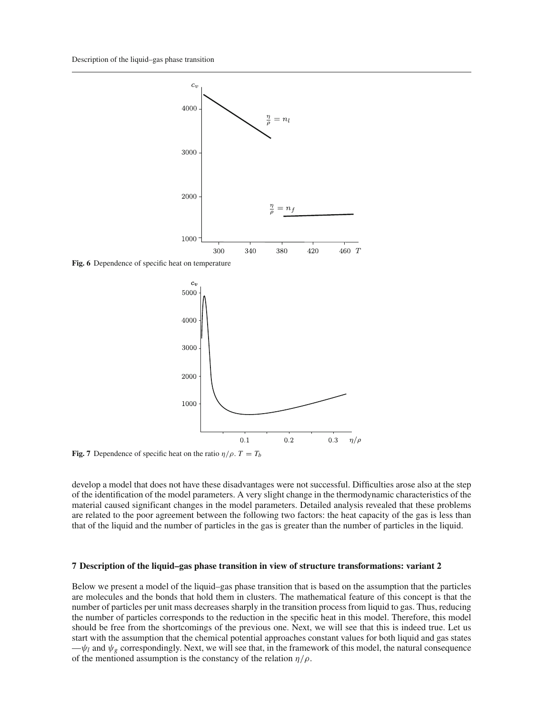

<span id="page-18-0"></span>**Fig. 6** Dependence of specific heat on temperature



<span id="page-18-1"></span>**Fig. 7** Dependence of specific heat on the ratio  $\eta/\rho$ .  $T = T_b$ 

develop a model that does not have these disadvantages were not successful. Difficulties arose also at the step of the identification of the model parameters. A very slight change in the thermodynamic characteristics of the material caused significant changes in the model parameters. Detailed analysis revealed that these problems are related to the poor agreement between the following two factors: the heat capacity of the gas is less than that of the liquid and the number of particles in the gas is greater than the number of particles in the liquid.

#### **7 Description of the liquid–gas phase transition in view of structure transformations: variant 2**

Below we present a model of the liquid–gas phase transition that is based on the assumption that the particles are molecules and the bonds that hold them in clusters. The mathematical feature of this concept is that the number of particles per unit mass decreases sharply in the transition process from liquid to gas. Thus, reducing the number of particles corresponds to the reduction in the specific heat in this model. Therefore, this model should be free from the shortcomings of the previous one. Next, we will see that this is indeed true. Let us start with the assumption that the chemical potential approaches constant values for both liquid and gas states  $-\psi_l$  and  $\psi_g$  correspondingly. Next, we will see that, in the framework of this model, the natural consequence of the mentioned assumption is the constancy of the relation  $\eta/\rho$ .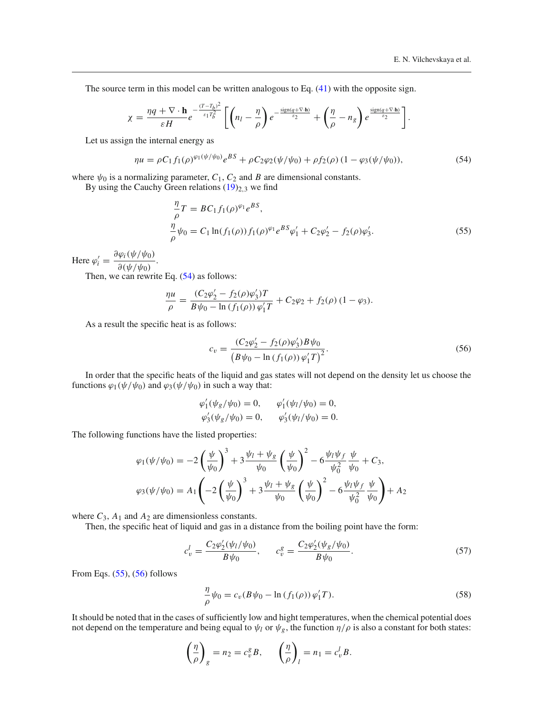The source term in this model can be written analogous to Eq. [\(41\)](#page-13-1) with the opposite sign.

$$
\chi = \frac{\eta q + \nabla \cdot \mathbf{h}}{\varepsilon H} e^{-\frac{(T-T_b)^2}{\varepsilon_1 T_b^2}} \left[ \left( n_l - \frac{\eta}{\rho} \right) e^{-\frac{\text{sign}(q + \nabla \cdot \mathbf{h})}{\varepsilon_2}} + \left( \frac{\eta}{\rho} - n_g \right) e^{\frac{\text{sign}(q + \nabla \cdot \mathbf{h})}{\varepsilon_2}} \right].
$$

Let us assign the internal energy as

$$
\eta u = \rho C_1 f_1(\rho)^{\varphi_1(\psi/\psi_0)} e^{BS} + \rho C_2 \varphi_2(\psi/\psi_0) + \rho f_2(\rho) (1 - \varphi_3(\psi/\psi_0)),\tag{54}
$$

<span id="page-19-0"></span>where  $\psi_0$  is a normalizing parameter,  $C_1$ ,  $C_2$  and *B* are dimensional constants.

<span id="page-19-1"></span>By using the Cauchy Green relations  $(19)_{2,3}$  $(19)_{2,3}$  we find

$$
\frac{\eta}{\rho}T = BC_1 f_1(\rho)^{\varphi_1} e^{BS},
$$
\n
$$
\frac{\eta}{\rho} \psi_0 = C_1 \ln(f_1(\rho)) f_1(\rho)^{\varphi_1} e^{BS} \varphi_1' + C_2 \varphi_2' - f_2(\rho) \varphi_3'.
$$
\n(55)

Here  $\varphi'_i = \frac{\partial \varphi_i(\psi/\psi_0)}{\partial (\psi/\psi_0)}$ .

Then, we can rewrite Eq.  $(54)$  as follows:

<span id="page-19-2"></span>
$$
\frac{\eta u}{\rho} = \frac{(C_2 \varphi_2' - f_2(\rho) \varphi_3')T}{B \psi_0 - \ln(f_1(\rho)) \varphi_1' T} + C_2 \varphi_2 + f_2(\rho) (1 - \varphi_3).
$$

As a result the specific heat is as follows:

$$
c_v = \frac{(C_2 \varphi_2' - f_2(\rho)\varphi_3')B\psi_0}{\left(B\psi_0 - \ln\left(f_1(\rho)\right)\varphi_1'T\right)^2}.
$$
\n(56)

In order that the specific heats of the liquid and gas states will not depend on the density let us choose the functions  $\varphi_1(\psi/\psi_0)$  and  $\varphi_3(\psi/\psi_0)$  in such a way that:

$$
\varphi_1'(\psi_g/\psi_0) = 0, \qquad \varphi_1'(\psi_l/\psi_0) = 0, \n\varphi_3'(\psi_g/\psi_0) = 0, \qquad \varphi_3'(\psi_l/\psi_0) = 0.
$$

The following functions have the listed properties:

$$
\varphi_1(\psi/\psi_0) = -2\left(\frac{\psi}{\psi_0}\right)^3 + 3\frac{\psi_1 + \psi_g}{\psi_0} \left(\frac{\psi}{\psi_0}\right)^2 - 6\frac{\psi_1\psi_f}{\psi_0^2} \frac{\psi}{\psi_0} + C_3,
$$
  

$$
\varphi_3(\psi/\psi_0) = A_1 \left(-2\left(\frac{\psi}{\psi_0}\right)^3 + 3\frac{\psi_1 + \psi_g}{\psi_0} \left(\frac{\psi}{\psi_0}\right)^2 - 6\frac{\psi_1\psi_f}{\psi_0^2} \frac{\psi}{\psi_0}\right) + A_2
$$

where  $C_3$ ,  $A_1$  and  $A_2$  are dimensionless constants.

<span id="page-19-3"></span>Then, the specific heat of liquid and gas in a distance from the boiling point have the form:

$$
c_v^l = \frac{C_2 \varphi_2'(\psi_l/\psi_0)}{B \psi_0}, \qquad c_v^g = \frac{C_2 \varphi_2'(\psi_g/\psi_0)}{B \psi_0}.
$$
 (57)

From Eqs.  $(55)$ ,  $(56)$  follows

<span id="page-19-4"></span>
$$
\frac{\eta}{\rho}\psi_0 = c_v(B\psi_0 - \ln(f_1(\rho))\,\varphi_1'T). \tag{58}
$$

It should be noted that in the cases of sufficiently low and hight temperatures, when the chemical potential does not depend on the temperature and being equal to  $\psi_l$  or  $\psi_g$ , the function  $\eta/\rho$  is also a constant for both states:

$$
\left(\frac{\eta}{\rho}\right)_g = n_2 = c_v^g B, \qquad \left(\frac{\eta}{\rho}\right)_l = n_1 = c_v^l B.
$$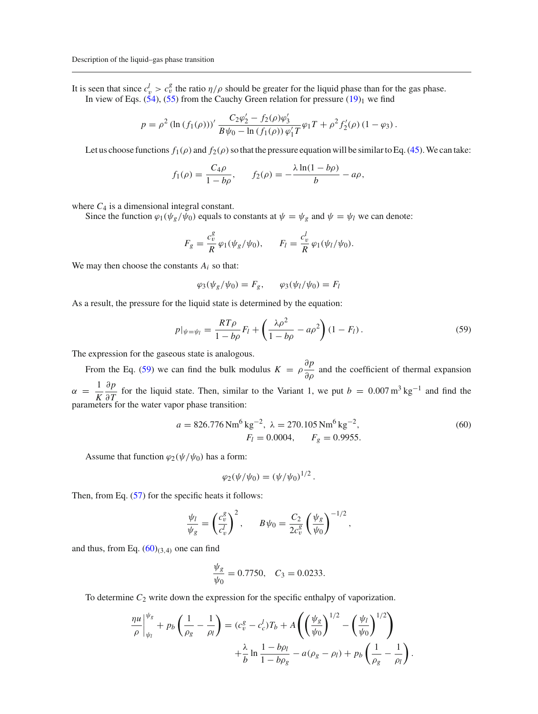It is seen that since  $c_v^l > c_v^g$  the ratio  $\eta/\rho$  should be greater for the liquid phase than for the gas phase. In view of Eqs.  $(54)$ ,  $(55)$  from the Cauchy Green relation for pressure  $(19)_1$  $(19)_1$  we find

$$
p = \rho^2 (\ln(f_1(\rho)))' \frac{C_2 \varphi_2' - f_2(\rho) \varphi_3'}{B \psi_0 - \ln(f_1(\rho)) \varphi_1' T} \varphi_1 T + \rho^2 f_2'(\rho) (1 - \varphi_3).
$$

Let us choose functions  $f_1(\rho)$  and  $f_2(\rho)$  so that the pressure equation will be similar to Eq. [\(45\)](#page-15-0). We can take:

$$
f_1(\rho) = \frac{C_4 \rho}{1 - b\rho}, \qquad f_2(\rho) = -\frac{\lambda \ln(1 - b\rho)}{b} - a\rho,
$$

where  $C_4$  is a dimensional integral constant.

Since the function  $\varphi_1(\psi_g/\psi_0)$  equals to constants at  $\psi = \psi_g$  and  $\psi = \psi_l$  we can denote:

$$
F_g = \frac{c_v^g}{R} \varphi_1(\psi_g/\psi_0), \qquad F_l = \frac{c_v^l}{R} \varphi_1(\psi_l/\psi_0).
$$

We may then choose the constants  $A_i$  so that:

$$
\varphi_3(\psi_g/\psi_0) = F_g, \qquad \varphi_3(\psi_l/\psi_0) = F_l
$$

As a result, the pressure for the liquid state is determined by the equation:

$$
p|_{\psi=\psi_l} = \frac{RT\rho}{1-b\rho}F_l + \left(\frac{\lambda\rho^2}{1-b\rho} - a\rho^2\right)(1-F_l). \tag{59}
$$

<span id="page-20-0"></span>The expression for the gaseous state is analogous.

From the Eq. [\(59\)](#page-20-0) we can find the bulk modulus  $K = \rho \frac{\partial p}{\partial \rho}$  and the coefficient of thermal expansion  $\alpha = \frac{1}{K}$  $\frac{\partial p}{\partial T}$  for the liquid state. Then, similar to the Variant 1, we put *b* = 0.007 m<sup>3</sup> kg<sup>-1</sup> and find the parameters for the water vapor phase transition:

$$
a = 826.776 \text{ Nm}^6 \text{ kg}^{-2}, \ \lambda = 270.105 \text{ Nm}^6 \text{ kg}^{-2},
$$
  
\n
$$
F_l = 0.0004, \qquad F_g = 0.9955.
$$
\n(60)

<span id="page-20-1"></span>Assume that function  $\varphi_2(\psi/\psi_0)$  has a form:

$$
\varphi_2(\psi/\psi_0) = (\psi/\psi_0)^{1/2}.
$$

Then, from Eq. [\(57\)](#page-19-3) for the specific heats it follows:

$$
\frac{\psi_l}{\psi_g} = \left(\frac{c_v^g}{c_v^l}\right)^2, \qquad B\psi_0 = \frac{C_2}{2c_v^g} \left(\frac{\psi_g}{\psi_0}\right)^{-1/2},
$$

and thus, from Eq.  $(60)_{(3,4)}$  $(60)_{(3,4)}$  one can find

$$
\frac{\psi_g}{\psi_0} = 0.7750, \quad C_3 = 0.0233.
$$

To determine *C*<sup>2</sup> write down the expression for the specific enthalpy of vaporization.

$$
\frac{\eta u}{\rho} \Big|_{\psi_l}^{\psi_g} + p_b \left( \frac{1}{\rho_g} - \frac{1}{\rho_l} \right) = (c_v^g - c_c^l) T_b + A \left( \left( \frac{\psi_g}{\psi_0} \right)^{1/2} - \left( \frac{\psi_l}{\psi_0} \right)^{1/2} \right) + \frac{\lambda}{b} \ln \frac{1 - b\rho_l}{1 - b\rho_g} - a(\rho_g - \rho_l) + p_b \left( \frac{1}{\rho_g} - \frac{1}{\rho_l} \right).
$$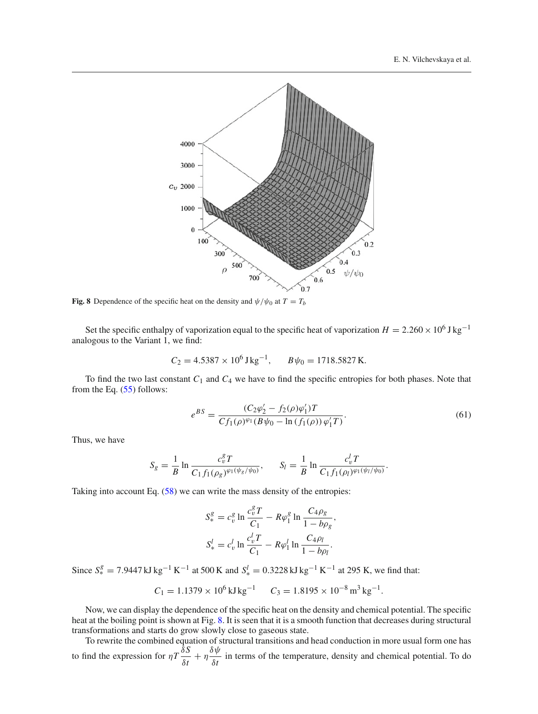

<span id="page-21-0"></span>**Fig. 8** Dependence of the specific heat on the density and  $\psi/\psi_0$  at  $T = T_b$ 

Set the specific enthalpy of vaporization equal to the specific heat of vaporization  $H = 2.260 \times 10^6$  J kg<sup>-1</sup> analogous to the Variant 1, we find:

$$
C_2 = 4.5387 \times 10^6
$$
 J kg<sup>-1</sup>,  $B\psi_0 = 1718.5827$  K.

To find the two last constant *C*<sup>1</sup> and *C*<sup>4</sup> we have to find the specific entropies for both phases. Note that from the Eq.  $(55)$  follows:

$$
e^{BS} = \frac{(C_2 \varphi_2' - f_2(\rho)\varphi_1')T}{C f_1(\rho)^{\varphi_1}(B \psi_0 - \ln(f_1(\rho))\varphi_1' T)}.
$$
(61)

Thus, we have

<span id="page-21-1"></span>
$$
S_g = \frac{1}{B} \ln \frac{c_v^g T}{C_1 f_1(\rho_g)^{\varphi_1(\psi_g/\psi_0)}}, \qquad S_l = \frac{1}{B} \ln \frac{c_v^l T}{C_1 f_1(\rho_l)^{\varphi_1(\psi_l/\psi_0)}}.
$$

Taking into account Eq. [\(58\)](#page-19-4) we can write the mass density of the entropies:

$$
S_{*}^{g} = c_{v}^{g} \ln \frac{c_{v}^{g} T}{C_{1}} - R\varphi_{1}^{g} \ln \frac{C_{4} \rho_{g}}{1 - b\rho_{g}},
$$
  

$$
S_{*}^{l} = c_{v}^{l} \ln \frac{c_{v}^{l} T}{C_{1}} - R\varphi_{1}^{l} \ln \frac{C_{4} \rho_{l}}{1 - b\rho_{l}}.
$$

Since  $S_*^g = 7.9447 \text{ kJ kg}^{-1} \text{ K}^{-1}$  at 500 K and  $S_*^l = 0.3228 \text{ kJ kg}^{-1} \text{ K}^{-1}$  at 295 K, we find that:

$$
C_1 = 1.1379 \times 10^6 \,\mathrm{kJ \, kg^{-1}} \quad C_3 = 1.8195 \times 10^{-8} \,\mathrm{m^3 \, kg^{-1}}.
$$

Now, we can display the dependence of the specific heat on the density and chemical potential. The specific heat at the boiling point is shown at Fig. [8.](#page-21-0) It is seen that it is a smooth function that decreases during structural transformations and starts do grow slowly close to gaseous state.

To rewrite the combined equation of structural transitions and head conduction in more usual form one has to find the expression for  $\eta T \frac{\delta S}{\delta S}$  $\frac{\delta S}{\delta t} + \eta \frac{\delta \psi}{\delta t}$  in terms of the temperature, density and chemical potential. To do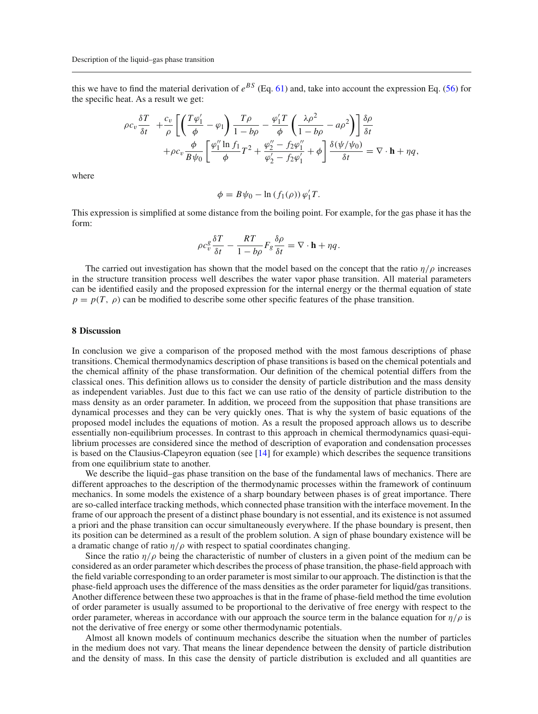this we have to find the material derivation of  $e^{BS}$  (Eq. [61\)](#page-21-1) and, take into account the expression Eq. [\(56\)](#page-19-2) for the specific heat. As a result we get:

$$
\rho c_v \frac{\delta T}{\delta t} + \frac{c_v}{\rho} \left[ \left( \frac{T \varphi_1'}{\phi} - \varphi_1 \right) \frac{T \rho}{1 - b\rho} - \frac{\varphi_1' T}{\phi} \left( \frac{\lambda \rho^2}{1 - b\rho} - a\rho^2 \right) \right] \frac{\delta \rho}{\delta t} + \rho c_v \frac{\phi}{B \psi_0} \left[ \frac{\varphi_1'' \ln f_1}{\phi} T^2 + \frac{\varphi_2'' - f_2 \varphi_1''}{\varphi_2' - f_2 \varphi_1'} + \phi \right] \frac{\delta(\psi/\psi_0)}{\delta t} = \nabla \cdot \mathbf{h} + \eta q,
$$

where

$$
\phi = B\psi_0 - \ln(f_1(\rho))\,\varphi_1'T.
$$

This expression is simplified at some distance from the boiling point. For example, for the gas phase it has the form:

$$
\rho c_v^g \frac{\delta T}{\delta t} - \frac{RT}{1 - b\rho} F_g \frac{\delta \rho}{\delta t} = \nabla \cdot \mathbf{h} + \eta q.
$$

The carried out investigation has shown that the model based on the concept that the ratio  $\eta/\rho$  increases in the structure transition process well describes the water vapor phase transition. All material parameters can be identified easily and the proposed expression for the internal energy or the thermal equation of state  $p = p(T, \rho)$  can be modified to describe some other specific features of the phase transition.

#### **8 Discussion**

In conclusion we give a comparison of the proposed method with the most famous descriptions of phase transitions. Chemical thermodynamics description of phase transitions is based on the chemical potentials and the chemical affinity of the phase transformation. Our definition of the chemical potential differs from the classical ones. This definition allows us to consider the density of particle distribution and the mass density as independent variables. Just due to this fact we can use ratio of the density of particle distribution to the mass density as an order parameter. In addition, we proceed from the supposition that phase transitions are dynamical processes and they can be very quickly ones. That is why the system of basic equations of the proposed model includes the equations of motion. As a result the proposed approach allows us to describe essentially non-equilibrium processes. In contrast to this approach in chemical thermodynamics quasi-equilibrium processes are considered since the method of description of evaporation and condensation processes is based on the Clausius-Clapeyron equation (see [\[14\]](#page-23-26) for example) which describes the sequence transitions from one equilibrium state to another.

We describe the liquid–gas phase transition on the base of the fundamental laws of mechanics. There are different approaches to the description of the thermodynamic processes within the framework of continuum mechanics. In some models the existence of a sharp boundary between phases is of great importance. There are so-called interface tracking methods, which connected phase transition with the interface movement. In the frame of our approach the present of a distinct phase boundary is not essential, and its existence is not assumed a priori and the phase transition can occur simultaneously everywhere. If the phase boundary is present, then its position can be determined as a result of the problem solution. A sign of phase boundary existence will be a dramatic change of ratio  $\eta/\rho$  with respect to spatial coordinates changing.

Since the ratio  $\eta/\rho$  being the characteristic of number of clusters in a given point of the medium can be considered as an order parameter which describes the process of phase transition, the phase-field approach with the field variable corresponding to an order parameter is most similar to our approach. The distinction is that the phase-field approach uses the difference of the mass densities as the order parameter for liquid/gas transitions. Another difference between these two approaches is that in the frame of phase-field method the time evolution of order parameter is usually assumed to be proportional to the derivative of free energy with respect to the order parameter, whereas in accordance with our approach the source term in the balance equation for  $\eta/\rho$  is not the derivative of free energy or some other thermodynamic potentials.

Almost all known models of continuum mechanics describe the situation when the number of particles in the medium does not vary. That means the linear dependence between the density of particle distribution and the density of mass. In this case the density of particle distribution is excluded and all quantities are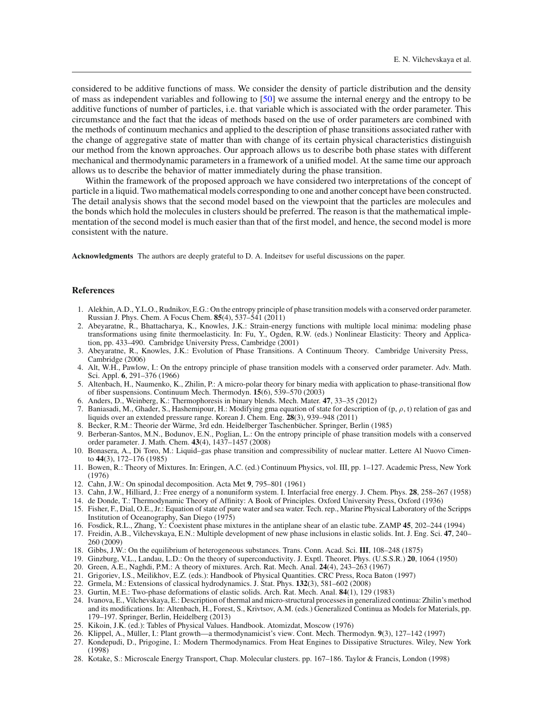considered to be additive functions of mass. We consider the density of particle distribution and the density of mass as independent variables and following to [\[50](#page-24-15)] we assume the internal energy and the entropy to be additive functions of number of particles, i.e. that variable which is associated with the order parameter. This circumstance and the fact that the ideas of methods based on the use of order parameters are combined with the methods of continuum mechanics and applied to the description of phase transitions associated rather with the change of aggregative state of matter than with change of its certain physical characteristics distinguish our method from the known approaches. Our approach allows us to describe both phase states with different mechanical and thermodynamic parameters in a framework of a unified model. At the same time our approach allows us to describe the behavior of matter immediately during the phase transition.

Within the framework of the proposed approach we have considered two interpretations of the concept of particle in a liquid. Two mathematical models corresponding to one and another concept have been constructed. The detail analysis shows that the second model based on the viewpoint that the particles are molecules and the bonds which hold the molecules in clusters should be preferred. The reason is that the mathematical implementation of the second model is much easier than that of the first model, and hence, the second model is more consistent with the nature.

**Acknowledgments** The authors are deeply grateful to D. A. Indeitsev for useful discussions on the paper.

## <span id="page-23-12"></span>**References**

- 1. Alekhin, A.D., Y.L.O., Rudnikov, E.G.: On the entropy principle of phase transition models with a conserved order parameter. Russian J. Phys. Chem. A Focus Chem. **85**(4), 537–541 (2011)
- <span id="page-23-0"></span>2. Abeyaratne, R., Bhattacharya, K., Knowles, J.K.: Strain-energy functions with multiple local minima: modeling phase transformations using finite thermoelasticity. In: Fu, Y., Ogden, R.W. (eds.) Nonlinear Elasticity: Theory and Application, pp. 433–490. Cambridge University Press, Cambridge (2001)
- 3. Abeyaratne, R., Knowles, J.K.: Evolution of Phase Transitions. A Continuum Theory. Cambridge University Press, Cambridge (2006)
- <span id="page-23-1"></span>4. Alt, W.H., Pawlow, I.: On the entropy principle of phase transition models with a conserved order parameter. Adv. Math. Sci. Appl. **6**, 291–376 (1966)
- <span id="page-23-18"></span>5. Altenbach, H., Naumenko, K., Zhilin, P.: A micro-polar theory for binary media with application to phase-transitional flow of fiber suspensions. Continuum Mech. Thermodyn. **15**(6), 539–570 (2003)
- <span id="page-23-2"></span>6. Anders, D., Weinberg, K.: Thermophoresis in binary blends. Mech. Mater. **47**, 33–35 (2012)
- <span id="page-23-14"></span>7. Baniasadi, M., Ghader, S., Hashemipour, H.: Modifying gma equation of state for description of  $(p, \rho, t)$  relation of gas and liquids over an extended pressure range. Korean J. Chem. Eng. **28**(3), 939–948 (2011)
- 8. Becker, R.M.: Theorie der Wärme, 3rd edn. Heidelberger Taschenbücher. Springer, Berlin (1985)
- <span id="page-23-19"></span>9. Berberan-Santos, M.N., Bodunov, E.N., Poglian, L.: On the entropy principle of phase transition models with a conserved order parameter. J. Math. Chem. **43**(4), 1437–1457 (2008)
- <span id="page-23-15"></span><span id="page-23-13"></span>10. Bonasera, A., Di Toro, M.: Liquid–gas phase transition and compressibility of nuclear matter. Lettere Al Nuovo Cimento **44**(3), 172–176 (1985)
- <span id="page-23-7"></span>11. Bowen, R.: Theory of Mixtures. In: Eringen, A.C. (ed.) Continuum Physics, vol. III, pp. 1–127. Academic Press, New York (1976)
- <span id="page-23-9"></span>12. Cahn, J.W.: On spinodal decomposition. Acta Met **9**, 795–801 (1961)
- <span id="page-23-10"></span>13. Cahn, J.W., Hilliard, J.: Free energy of a nonuniform system. I. Interfacial free energy. J. Chem. Phys. **28**, 258–267 (1958)
- <span id="page-23-26"></span>14. de Donde, T.: Thermodynamic Theory of Affinity: A Book of Principles. Oxford University Press, Oxford (1936)
- <span id="page-23-25"></span>15. Fisher, F., Dial, O.E., Jr.: Equation of state of pure water and sea water. Tech. rep., Marine Physical Laboratory of the Scripps Institution of Oceanography, San Diego (1975)
- <span id="page-23-3"></span>16. Fosdick, R.L., Zhang, Y.: Coexistent phase mixtures in the antiplane shear of an elastic tube. ZAMP **45**, 202–244 (1994)
- <span id="page-23-4"></span>17. Freidin, A.B., Vilchevskaya, E.N.: Multiple development of new phase inclusions in elastic solids. Int. J. Eng. Sci. **47**, 240– 260 (2009)
- 18. Gibbs, J.W.: On the equilibrium of heterogeneous substances. Trans. Conn. Acad. Sci. **III**, 108–248 (1875)
- <span id="page-23-20"></span><span id="page-23-11"></span>19. Ginzburg, V.L., Landau, L.D.: On the theory of superconductivity. J. Exptl. Theoret. Phys. (U.S.S.R.) **20**, 1064 (1950)
- <span id="page-23-8"></span>20. Green, A.E., Naghdi, P.M.: A theory of mixtures. Arch. Rat. Mech. Anal. **24**(4), 243–263 (1967)
- <span id="page-23-23"></span>21. Grigoriev, I.S., Meilikhov, E.Z. (eds.): Handbook of Physical Quantities. CRC Press, Roca Baton (1997)
- <span id="page-23-16"></span>22. Grmela, M.: Extensions of classical hydrodynamics. J. Stat. Phys. **132**(3), 581–602 (2008)
- <span id="page-23-5"></span>23. Gurtin, M.E.: Two-phase deformations of elastic solids. Arch. Rat. Mech. Anal. **84**(1), 129 (1983)
- <span id="page-23-22"></span>24. Ivanova, E., Vilchevskaya, E.: Description of thermal and micro-structural processes in generalized continua: Zhilin's method and its modifications. In: Altenbach, H., Forest, S., Krivtsov, A.M. (eds.) Generalized Continua as Models for Materials, pp. 179–197. Springer, Berlin, Heidelberg (2013)
- <span id="page-23-24"></span>25. Kikoin, J.K. (ed.): Tables of Physical Values. Handbook. Atomizdat, Moscow (1976)
- <span id="page-23-6"></span>26. Klippel, A., Müller, I.: Plant growth—a thermodynamicist's view. Cont. Mech. Thermodyn. **9**(3), 127–142 (1997)
- <span id="page-23-21"></span>27. Kondepudi, D., Prigogine, I.: Modern Thermodynamics. From Heat Engines to Dissipative Structures. Wiley, New York (1998)
- <span id="page-23-17"></span>28. Kotake, S.: Microscale Energy Transport, Chap. Molecular clusters. pp. 167–186. Taylor & Francis, London (1998)